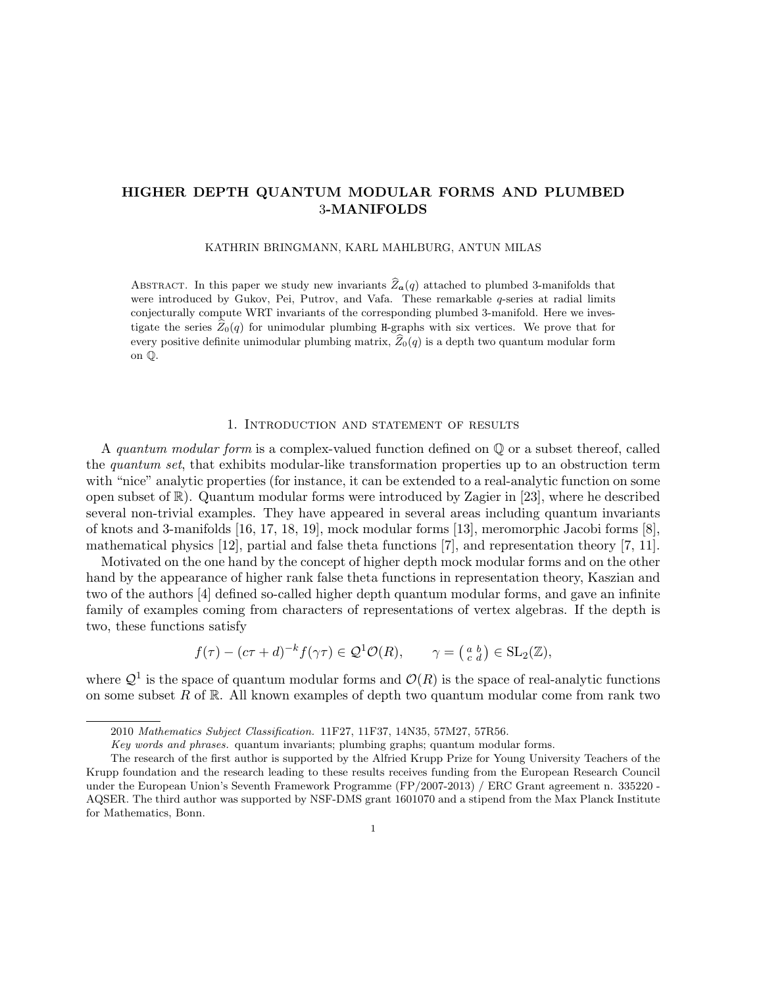# HIGHER DEPTH QUANTUM MODULAR FORMS AND PLUMBED 3-MANIFOLDS

KATHRIN BRINGMANN, KARL MAHLBURG, ANTUN MILAS

ABSTRACT. In this paper we study new invariants  $\hat{Z}_a(q)$  attached to plumbed 3-manifolds that were introduced by Gukov, Pei, Putrov, and Vafa. These remarkable  $q$ -series at radial limits conjecturally compute WRT invariants of the corresponding plumbed 3-manifold. Here we investigate the series  $\widehat{Z}_0(q)$  for unimodular plumbing H-graphs with six vertices. We prove that for every positive definite unimodular plumbing matrix,  $\widehat{Z}_0(q)$  is a depth two quantum modular form on Q.

#### 1. Introduction and statement of results

A quantum modular form is a complex-valued function defined on Q or a subset thereof, called the *quantum set*, that exhibits modular-like transformation properties up to an obstruction term with "nice" analytic properties (for instance, it can be extended to a real-analytic function on some open subset of  $\mathbb{R}$ ). Quantum modular forms were introduced by Zagier in [23], where he described several non-trivial examples. They have appeared in several areas including quantum invariants of knots and 3-manifolds [16, 17, 18, 19], mock modular forms [13], meromorphic Jacobi forms [8], mathematical physics [12], partial and false theta functions [7], and representation theory [7, 11].

Motivated on the one hand by the concept of higher depth mock modular forms and on the other hand by the appearance of higher rank false theta functions in representation theory, Kaszian and two of the authors [4] defined so-called higher depth quantum modular forms, and gave an infinite family of examples coming from characters of representations of vertex algebras. If the depth is two, these functions satisfy

$$
f(\tau) - (c\tau + d)^{-k} f(\gamma \tau) \in \mathcal{Q}^1 \mathcal{O}(R), \qquad \gamma = \begin{pmatrix} a & b \\ c & d \end{pmatrix} \in SL_2(\mathbb{Z}),
$$

where  $\mathcal{Q}^1$  is the space of quantum modular forms and  $\mathcal{O}(R)$  is the space of real-analytic functions on some subset R of R. All known examples of depth two quantum modular come from rank two

<sup>2010</sup> Mathematics Subject Classification. 11F27, 11F37, 14N35, 57M27, 57R56.

Key words and phrases. quantum invariants; plumbing graphs; quantum modular forms.

The research of the first author is supported by the Alfried Krupp Prize for Young University Teachers of the Krupp foundation and the research leading to these results receives funding from the European Research Council under the European Union's Seventh Framework Programme (FP/2007-2013) / ERC Grant agreement n. 335220 - AQSER. The third author was supported by NSF-DMS grant 1601070 and a stipend from the Max Planck Institute for Mathematics, Bonn.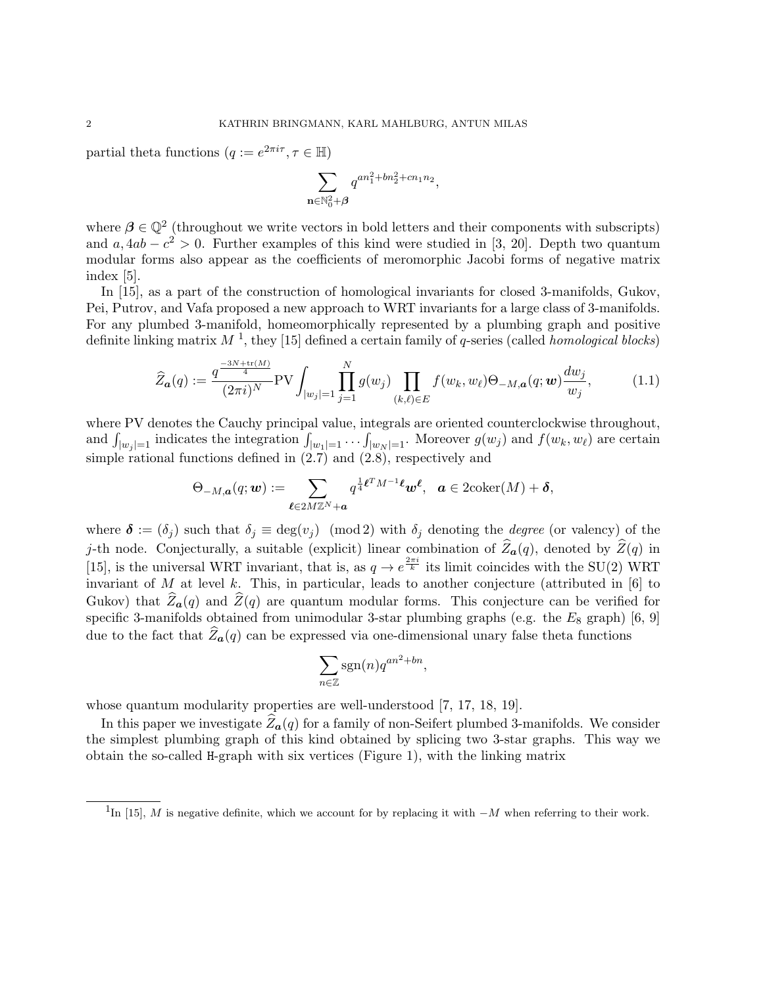partial theta functions  $(q := e^{2\pi i \tau}, \tau \in \mathbb{H})$ 

$$
\sum_{\mathbf{n}\in\mathbb{N}_0^2+\boldsymbol{\beta}}q^{an_1^2+bn_2^2+cn_1n_2},
$$

where  $\beta \in \mathbb{Q}^2$  (throughout we write vectors in bold letters and their components with subscripts) and  $a, 4ab - c^2 > 0$ . Further examples of this kind were studied in [3, 20]. Depth two quantum modular forms also appear as the coefficients of meromorphic Jacobi forms of negative matrix index [5].

In [15], as a part of the construction of homological invariants for closed 3-manifolds, Gukov, Pei, Putrov, and Vafa proposed a new approach to WRT invariants for a large class of 3-manifolds. For any plumbed 3-manifold, homeomorphically represented by a plumbing graph and positive definite linking matrix  $M<sup>1</sup>$ , they [15] defined a certain family of q-series (called *homological blocks*)

$$
\widehat{Z}_{\mathbf{a}}(q) := \frac{q^{\frac{-3N + \text{tr}(M)}{4}}}{(2\pi i)^N} \text{PV} \int_{|w_j|=1} \prod_{j=1}^N g(w_j) \prod_{(k,\ell) \in E} f(w_k, w_\ell) \Theta_{-M,\mathbf{a}}(q; \mathbf{w}) \frac{dw_j}{w_j},\tag{1.1}
$$

where PV denotes the Cauchy principal value, integrals are oriented counterclockwise throughout, and  $\int_{|w_j|=1}$  indicates the integration  $\int_{|w_1|=1} \ldots \int_{|w_N|=1}$ . Moreover  $g(w_j)$  and  $f(w_k, w_\ell)$  are certain simple rational functions defined in (2.7) and (2.8), respectively and

$$
\Theta_{-M,\boldsymbol{a}}(q;\boldsymbol{w}) := \sum_{\boldsymbol{\ell} \in 2M\mathbb{Z}^N + \boldsymbol{a}} q^{\frac{1}{4}\boldsymbol{\ell}^T M^{-1}\boldsymbol{\ell}} \boldsymbol{w}^{\boldsymbol{\ell}}, \quad \boldsymbol{a} \in 2\mathrm{coker}(M) + \boldsymbol{\delta},
$$

where  $\delta := (\delta_i)$  such that  $\delta_i \equiv \deg(v_i) \pmod{2}$  with  $\delta_i$  denoting the *degree* (or valency) of the j-th node. Conjecturally, a suitable (explicit) linear combination of  $\hat{Z}_{\boldsymbol{a}}(q)$ , denoted by  $\hat{Z}(q)$  in [15], is the universal WRT invariant, that is, as  $q \to e^{\frac{2\pi i}{k}}$  its limit coincides with the SU(2) WRT invariant of M at level k. This, in particular, leads to another conjecture (attributed in  $[6]$  to Gukov) that  $\widehat{Z}_{a}(q)$  and  $\widehat{Z}(q)$  are quantum modular forms. This conjecture can be verified for specific 3-manifolds obtained from unimodular 3-star plumbing graphs (e.g. the  $E_8$  graph) [6, 9] due to the fact that  $\hat{Z}_{a}(q)$  can be expressed via one-dimensional unary false theta functions

$$
\sum_{n\in\mathbb{Z}}\operatorname{sgn}(n)q^{an^2+bn},
$$

whose quantum modularity properties are well-understood [7, 17, 18, 19].

In this paper we investigate  $\widehat{Z}_{a}(q)$  for a family of non-Seifert plumbed 3-manifolds. We consider the simplest plumbing graph of this kind obtained by splicing two 3-star graphs. This way we obtain the so-called H-graph with six vertices (Figure 1), with the linking matrix

<sup>&</sup>lt;sup>1</sup>In [15], M is negative definite, which we account for by replacing it with  $-M$  when referring to their work.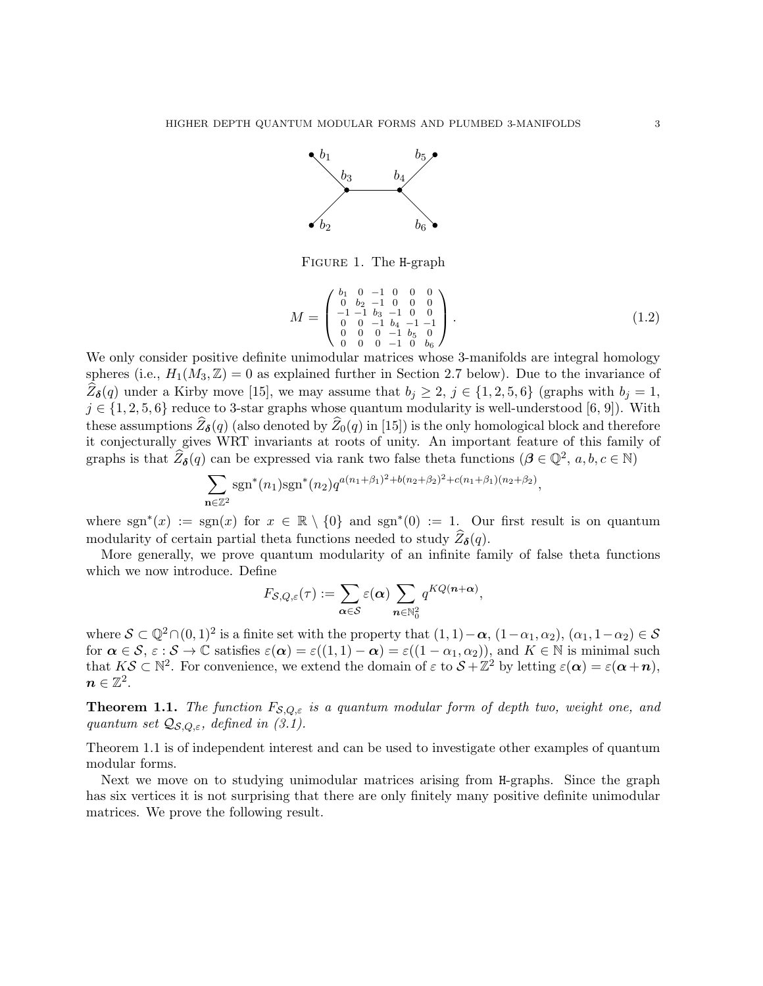

Figure 1. The H-graph

$$
M = \begin{pmatrix} b_1 & 0 & -1 & 0 & 0 & 0 \\ 0 & b_2 & -1 & 0 & 0 & 0 \\ -1 & -1 & b_3 & -1 & 0 & 0 \\ 0 & 0 & -1 & b_4 & -1 & -1 \\ 0 & 0 & 0 & -1 & b_5 & 0 \\ 0 & 0 & 0 & -1 & 0 & b_6 \end{pmatrix}.
$$
 (1.2)

We only consider positive definite unimodular matrices whose 3-manifolds are integral homology spheres (i.e.,  $H_1(M_3, \mathbb{Z}) = 0$  as explained further in Section 2.7 below). Due to the invariance of  $Z_{\delta}(q)$  under a Kirby move [15], we may assume that  $b_j \geq 2$ ,  $j \in \{1, 2, 5, 6\}$  (graphs with  $b_j = 1$ ,  $j \in \{1, 2, 5, 6\}$  reduce to 3-star graphs whose quantum modularity is well-understood [6, 9]). With these assumptions  $Z_{\delta}(q)$  (also denoted by  $Z_0(q)$  in [15]) is the only homological block and therefore<br>it conjecturally gives WRT invariants at roots of unity. An important feature of this family of graphs is that  $\widehat{Z}_{\delta}(q)$  can be expressed via rank two false theta functions  $(\beta \in \mathbb{Q}^2, a, b, c \in \mathbb{N})$ 

$$
\sum_{\mathbf{n}\in\mathbb{Z}^2} \operatorname{sgn}^*(n_1)\operatorname{sgn}^*(n_2) q^{a(n_1+\beta_1)^2+b(n_2+\beta_2)^2+c(n_1+\beta_1)(n_2+\beta_2)},
$$

where  $sgn^{*}(x) := sgn(x)$  for  $x \in \mathbb{R} \setminus \{0\}$  and  $sgn^{*}(0) := 1$ . Our first result is on quantum modularity of certain partial theta functions needed to study  $\widehat{Z}_{\delta}(q)$ .

More generally, we prove quantum modularity of an infinite family of false theta functions which we now introduce. Define

$$
F_{\mathcal{S},Q,\varepsilon}(\tau) := \sum_{\alpha \in \mathcal{S}} \varepsilon(\alpha) \sum_{n \in \mathbb{N}_0^2} q^{KQ(n+\alpha)},
$$

where  $S \subset \mathbb{Q}^2 \cap (0,1)^2$  is a finite set with the property that  $(1,1)-\alpha$ ,  $(1-\alpha_1,\alpha_2)$ ,  $(\alpha_1,1-\alpha_2) \in S$ for  $\alpha \in \mathcal{S}, \varepsilon : \mathcal{S} \to \mathbb{C}$  satisfies  $\varepsilon(\alpha) = \varepsilon((1,1)-\alpha) = \varepsilon((1-\alpha_1,\alpha_2))$ , and  $K \in \mathbb{N}$  is minimal such that  $K\mathcal{S} \subset \mathbb{N}^2$ . For convenience, we extend the domain of  $\varepsilon$  to  $\mathcal{S} + \mathbb{Z}^2$  by letting  $\varepsilon(\alpha) = \varepsilon(\alpha+n)$ ,  $\boldsymbol{n}\in\mathbb{Z}^2.$ 

**Theorem 1.1.** The function  $F_{\mathcal{S},Q,\varepsilon}$  is a quantum modular form of depth two, weight one, and quantum set  $\mathcal{Q}_{\mathcal{S},Q,\varepsilon}$ , defined in (3.1).

Theorem 1.1 is of independent interest and can be used to investigate other examples of quantum modular forms.

Next we move on to studying unimodular matrices arising from H-graphs. Since the graph has six vertices it is not surprising that there are only finitely many positive definite unimodular matrices. We prove the following result.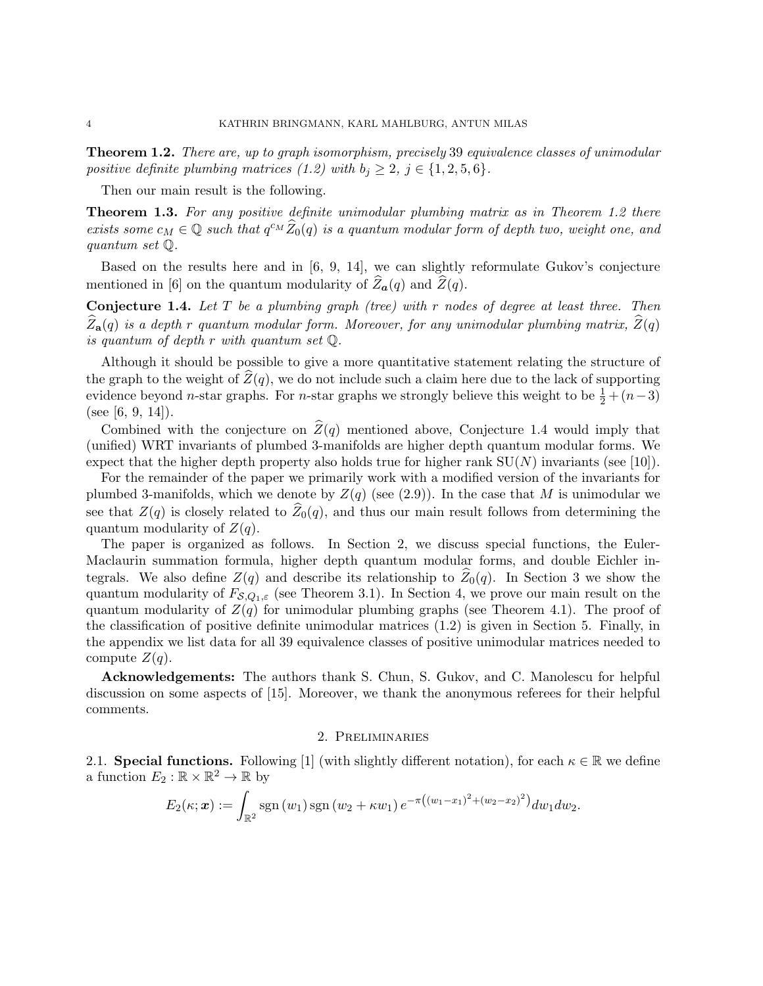Theorem 1.2. There are, up to graph isomorphism, precisely 39 equivalence classes of unimodular positive definite plumbing matrices (1.2) with  $b_i \geq 2$ ,  $j \in \{1, 2, 5, 6\}$ .

Then our main result is the following.

Theorem 1.3. For any positive definite unimodular plumbing matrix as in Theorem 1.2 there exists some  $c_M \in \mathbb{Q}$  such that  $q^{c_M} \widehat{Z}_0(q)$  is a quantum modular form of depth two, weight one, and quantum set Q.

Based on the results here and in [6, 9, 14], we can slightly reformulate Gukov's conjecture mentioned in [6] on the quantum modularity of  $\overline{Z}_{\boldsymbol{a}}(q)$  and  $\overline{Z}(q)$ .

**Conjecture 1.4.** Let  $T$  be a plumbing graph (tree) with  $r$  nodes of degree at least three. Then  $Z_{\bf a}(q)$  is a depth r quantum modular form. Moreover, for any unimodular plumbing matrix,  $\widehat{Z}(q)$ is quantum of depth r with quantum set Q.

Although it should be possible to give a more quantitative statement relating the structure of the graph to the weight of  $Z(q)$ , we do not include such a claim here due to the lack of supporting evidence beyond *n*-star graphs. For *n*-star graphs we strongly believe this weight to be  $\frac{1}{2} + (n-3)$ (see [6, 9, 14]).

Combined with the conjecture on  $\hat{Z}(q)$  mentioned above, Conjecture 1.4 would imply that (unified) WRT invariants of plumbed 3-manifolds are higher depth quantum modular forms. We expect that the higher depth property also holds true for higher rank  $SU(N)$  invariants (see [10]).

For the remainder of the paper we primarily work with a modified version of the invariants for plumbed 3-manifolds, which we denote by  $Z(q)$  (see (2.9)). In the case that M is unimodular we see that  $Z(q)$  is closely related to  $\widehat{Z}_0(q)$ , and thus our main result follows from determining the quantum modularity of  $Z(q)$ .

The paper is organized as follows. In Section 2, we discuss special functions, the Euler-Maclaurin summation formula, higher depth quantum modular forms, and double Eichler integrals. We also define  $Z(q)$  and describe its relationship to  $\hat{Z}_0(q)$ . In Section 3 we show the quantum modularity of  $F_{\mathcal{S},Q_1,\varepsilon}$  (see Theorem 3.1). In Section 4, we prove our main result on the quantum modularity of  $Z(q)$  for unimodular plumbing graphs (see Theorem 4.1). The proof of the classification of positive definite unimodular matrices (1.2) is given in Section 5. Finally, in the appendix we list data for all 39 equivalence classes of positive unimodular matrices needed to compute  $Z(q)$ .

Acknowledgements: The authors thank S. Chun, S. Gukov, and C. Manolescu for helpful discussion on some aspects of [15]. Moreover, we thank the anonymous referees for their helpful comments.

#### 2. Preliminaries

2.1. Special functions. Following [1] (with slightly different notation), for each  $\kappa \in \mathbb{R}$  we define a function  $E_2 : \mathbb{R} \times \mathbb{R}^2 \to \mathbb{R}$  by

$$
E_2(\kappa; \mathbf{x}) := \int_{\mathbb{R}^2} \mathrm{sgn}(w_1) \mathrm{sgn}(w_2 + \kappa w_1) e^{-\pi((w_1 - x_1)^2 + (w_2 - x_2)^2)} dw_1 dw_2.
$$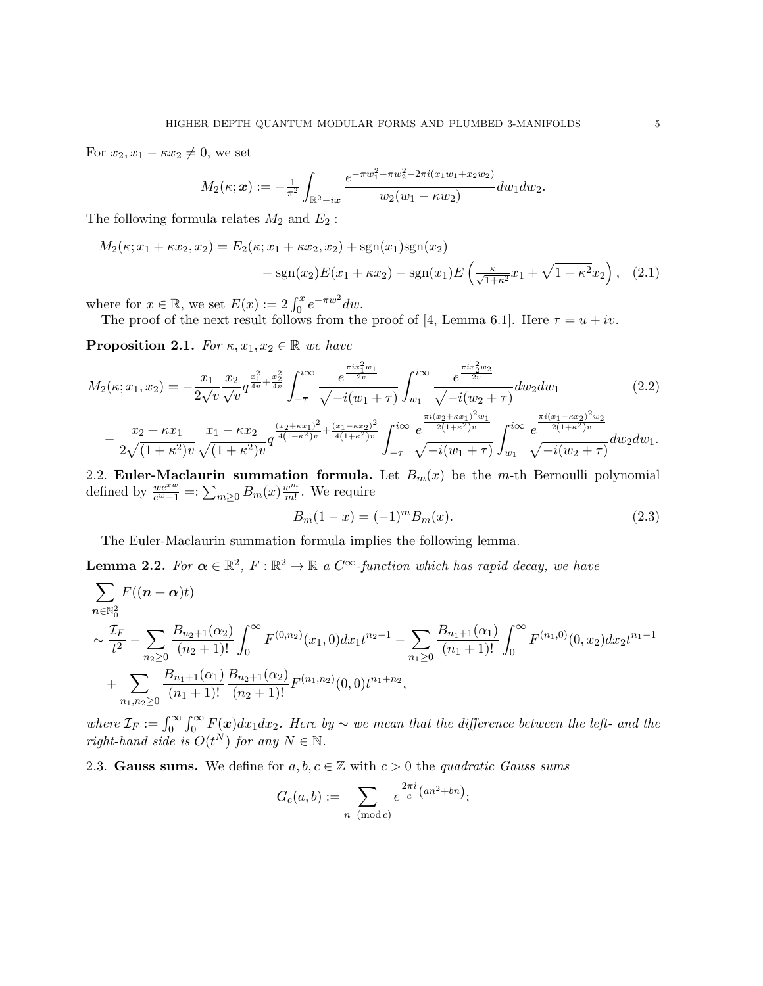For  $x_2, x_1 - \kappa x_2 \neq 0$ , we set

$$
M_2(\kappa; \boldsymbol{x}) := -\frac{1}{\pi^2} \int_{\mathbb{R}^2 - i\boldsymbol{x}} \frac{e^{-\pi w_1^2 - \pi w_2^2 - 2\pi i (x_1 w_1 + x_2 w_2)}}{w_2(w_1 - \kappa w_2)} dw_1 dw_2.
$$

The following formula relates  $M_2$  and  $E_2$ :

$$
M_2(\kappa; x_1 + \kappa x_2, x_2) = E_2(\kappa; x_1 + \kappa x_2, x_2) + \text{sgn}(x_1)\text{sgn}(x_2)
$$

$$
-\text{sgn}(x_2)E(x_1 + \kappa x_2) - \text{sgn}(x_1)E\left(\frac{\kappa}{\sqrt{1+\kappa^2}}x_1 + \sqrt{1+\kappa^2}x_2\right), \quad (2.1)
$$

where for  $x \in \mathbb{R}$ , we set  $E(x) := 2 \int_0^x e^{-\pi w^2} dw$ .

The proof of the next result follows from the proof of [4, Lemma 6.1]. Here  $\tau = u + iv$ .

**Proposition 2.1.** For  $\kappa$ ,  $x_1, x_2 \in \mathbb{R}$  we have

$$
M_{2}(\kappa; x_{1}, x_{2}) = -\frac{x_{1}}{2\sqrt{v}} \frac{x_{2}}{\sqrt{v}} q^{\frac{x_{1}^{2}}{4v} + \frac{x_{2}^{2}}{4v}} \int_{-\overline{\tau}}^{i\infty} \frac{e^{\frac{\pi i x_{1}^{2}w_{1}}{2v}}}{\sqrt{-i(w_{1} + \tau)}} \int_{w_{1}}^{i\infty} \frac{e^{\frac{\pi i x_{2}^{2}w_{2}}{2v}}}{\sqrt{-i(w_{2} + \tau)}} dw_{2} dw_{1}
$$
\n
$$
- \frac{x_{2} + \kappa x_{1}}{2\sqrt{(1 + \kappa^{2})v}} \frac{x_{1} - \kappa x_{2}}{\sqrt{(1 + \kappa^{2})v}} q^{\frac{(x_{2} + \kappa x_{1})^{2}}{4(1 + \kappa^{2})v} + \frac{(x_{1} - \kappa x_{2})^{2}}{4(1 + \kappa^{2})v}} \int_{-\overline{\tau}}^{i\infty} \frac{e^{\frac{\pi i (x_{2} + \kappa x_{1})^{2}w_{1}}{2(1 + \kappa^{2})v}}}{\sqrt{-i(w_{1} + \tau)}} \int_{w_{1}}^{i\infty} \frac{e^{\frac{\pi i (x_{1} - \kappa x_{2})^{2}w_{2}}{2(1 + \kappa^{2})v}}}{\sqrt{-i(w_{2} + \tau)}} dw_{2} dw_{1}.
$$
\n(2.2)

2.2. Euler-Maclaurin summation formula. Let  $B_m(x)$  be the m-th Bernoulli polynomial defined by  $\frac{we^{xw}}{e^w-1}$  =:  $\sum_{m\geq 0} B_m(x) \frac{w^m}{m!}$  $\frac{w^m}{m!}$ . We require

$$
B_m(1-x) = (-1)^m B_m(x). \tag{2.3}
$$

The Euler-Maclaurin summation formula implies the following lemma.

**Lemma 2.2.** For  $\alpha \in \mathbb{R}^2$ ,  $F : \mathbb{R}^2 \to \mathbb{R}$  a  $C^{\infty}$ -function which has rapid decay, we have

$$
\sum_{n \in \mathbb{N}_0^2} F((n+\alpha)t)
$$
\n
$$
\sim \frac{\mathcal{I}_F}{t^2} - \sum_{n_2 \ge 0} \frac{B_{n_2+1}(\alpha_2)}{(n_2+1)!} \int_0^\infty F^{(0,n_2)}(x_1,0) dx_1 t^{n_2-1} - \sum_{n_1 \ge 0} \frac{B_{n_1+1}(\alpha_1)}{(n_1+1)!} \int_0^\infty F^{(n_1,0)}(0,x_2) dx_2 t^{n_1-1}
$$
\n
$$
+ \sum_{n_1, n_2 \ge 0} \frac{B_{n_1+1}(\alpha_1)}{(n_1+1)!} \frac{B_{n_2+1}(\alpha_2)}{(n_2+1)!} F^{(n_1,n_2)}(0,0) t^{n_1+n_2},
$$

where  $\mathcal{I}_F := \int_0^\infty \int_0^\infty F(x) dx_1 dx_2$ . Here by  $\sim$  we mean that the difference between the left- and the right-hand side is  $O(t^N)$  for any  $N \in \mathbb{N}$ .

2.3. Gauss sums. We define for  $a, b, c \in \mathbb{Z}$  with  $c > 0$  the quadratic Gauss sums

$$
G_c(a,b) := \sum_{n \pmod{c}} e^{\frac{2\pi i}{c}(an^2 + bn)};
$$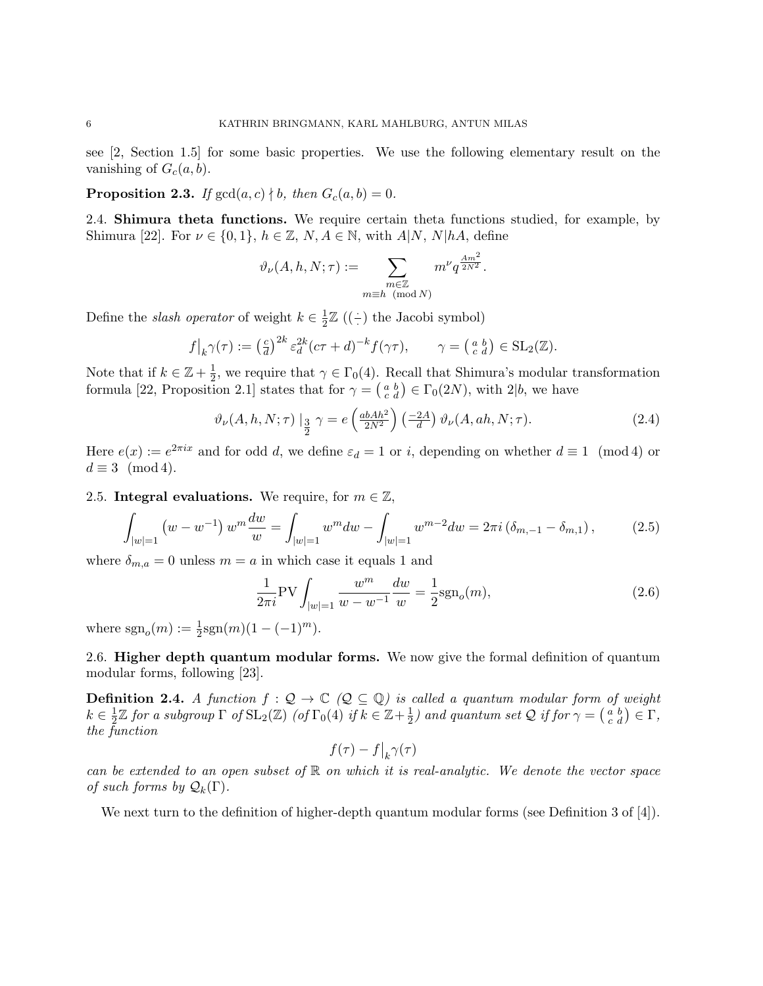see [2, Section 1.5] for some basic properties. We use the following elementary result on the vanishing of  $G_c(a, b)$ .

**Proposition 2.3.** If  $gcd(a, c) \nmid b$ , then  $G_c(a, b) = 0$ .

2.4. Shimura theta functions. We require certain theta functions studied, for example, by Shimura [22]. For  $\nu \in \{0,1\}, h \in \mathbb{Z}, N, A \in \mathbb{N}$ , with  $A|N, N|hA$ , define

$$
\vartheta_\nu(A,h,N;\tau):=\sum_{\substack{m\in\mathbb{Z}\\m\equiv h\pmod{N}}}m^\nu q^{\frac{Am^2}{2N^2}}.
$$

Define the *slash operator* of weight  $k \in \frac{1}{2}$  $\frac{1}{2}\mathbb{Z}$  ((–) the Jacobi symbol)

$$
f|_{k}\gamma(\tau) := \left(\frac{c}{d}\right)^{2k} \varepsilon_d^{2k} (c\tau + d)^{-k} f(\gamma \tau), \qquad \gamma = \left(\begin{matrix} a & b \\ c & d \end{matrix}\right) \in SL_2(\mathbb{Z}).
$$

Note that if  $k \in \mathbb{Z} + \frac{1}{2}$  $\frac{1}{2}$ , we require that  $\gamma \in \Gamma_0(4)$ . Recall that Shimura's modular transformation formula [22, Proposition 2.1] states that for  $\gamma = \begin{pmatrix} a & b \\ c & d \end{pmatrix} \in \Gamma_0(2N)$ , with 2|b, we have

$$
\vartheta_{\nu}(A, h, N; \tau) \Big|_{\frac{3}{2}} \gamma = e\left(\frac{abAh^2}{2N^2}\right) \left(\frac{-2A}{d}\right) \vartheta_{\nu}(A, ah, N; \tau). \tag{2.4}
$$

Here  $e(x) := e^{2\pi ix}$  and for odd d, we define  $\varepsilon_d = 1$  or i, depending on whether  $d \equiv 1 \pmod{4}$  or  $d \equiv 3 \pmod{4}$ .

2.5. Integral evaluations. We require, for  $m \in \mathbb{Z}$ ,

$$
\int_{|w|=1} \left( w - w^{-1} \right) w^m \frac{dw}{w} = \int_{|w|=1} w^m dw - \int_{|w|=1} w^{m-2} dw = 2\pi i \left( \delta_{m,-1} - \delta_{m,1} \right),\tag{2.5}
$$

where  $\delta_{m,a} = 0$  unless  $m = a$  in which case it equals 1 and

$$
\frac{1}{2\pi i} \text{PV} \int_{|w|=1} \frac{w^m}{w - w^{-1}} \frac{dw}{w} = \frac{1}{2} \text{sgn}_o(m),\tag{2.6}
$$

where  $sgn_o(m) := \frac{1}{2}sgn(m)(1 - (-1)^m)$ .

2.6. **Higher depth quantum modular forms.** We now give the formal definition of quantum modular forms, following [23].

**Definition 2.4.** A function  $f : \mathcal{Q} \to \mathbb{C}$  ( $\mathcal{Q} \subseteq \mathbb{Q}$ ) is called a quantum modular form of weight  $k \in \frac{1}{2}$  $\frac{1}{2}\mathbb{Z}$  for a subgroup  $\Gamma$  of  $\mathrm{SL}_2(\mathbb{Z})$  (of  $\Gamma_0(4)$  if  $k \in \mathbb{Z}+\frac{1}{2}$  $\frac{1}{2}$ ) and quantum set Q if for  $\gamma = \begin{pmatrix} a & b \\ c & d \end{pmatrix} \in \Gamma$ , the function

$$
f(\tau) - f|_{k} \gamma(\tau)
$$

can be extended to an open subset of  $\mathbb R$  on which it is real-analytic. We denote the vector space of such forms by  $\mathcal{Q}_k(\Gamma)$ .

We next turn to the definition of higher-depth quantum modular forms (see Definition 3 of [4]).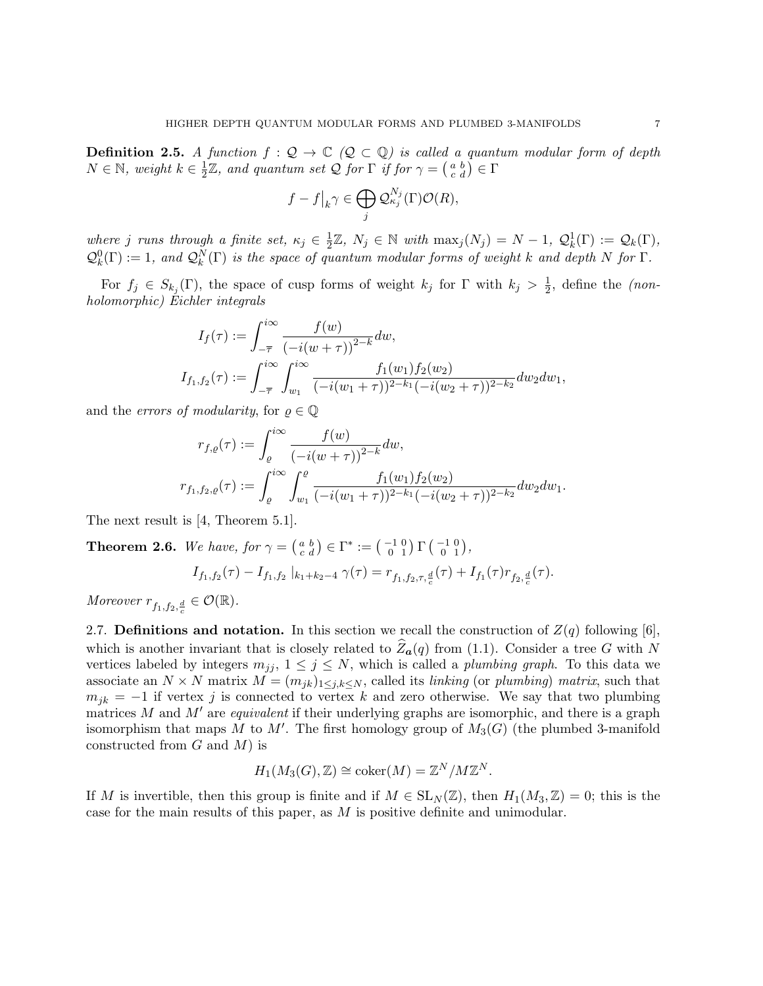**Definition 2.5.** A function  $f : \mathcal{Q} \to \mathbb{C}$  ( $\mathcal{Q} \subset \mathbb{Q}$ ) is called a quantum modular form of depth  $N \in \mathbb{N}$ , weight  $k \in \frac{1}{2}$  $\frac{1}{2}\mathbb{Z}$ , and quantum set Q for  $\Gamma$  if for  $\gamma = \left(\begin{smallmatrix} a & b \ c & d \end{smallmatrix}\right) \in \Gamma$ 

$$
f - f|_{k} \gamma \in \bigoplus_{j} \mathcal{Q}_{\kappa_{j}}^{N_{j}}(\Gamma) \mathcal{O}(R),
$$

where j runs through a finite set,  $\kappa_j \in \frac{1}{2}$  $\frac{1}{2}\mathbb{Z}, N_j \in \mathbb{N}$  with  $\max_j(N_j) = N - 1, \mathcal{Q}_k^1(\Gamma) := \mathcal{Q}_k(\Gamma),$  $\mathcal{Q}_k^0(\Gamma) := 1$ , and  $\mathcal{Q}_k^N(\Gamma)$  is the space of quantum modular forms of weight k and depth N for  $\Gamma$ .

For  $f_j \in S_{k_j}(\Gamma)$ , the space of cusp forms of weight  $k_j$  for  $\Gamma$  with  $k_j > \frac{1}{2}$  $\frac{1}{2}$ , define the (nonholomorphic) Eichler integrals

$$
I_f(\tau) := \int_{-\overline{\tau}}^{i\infty} \frac{f(w)}{\left(-i(w+\tau)\right)^{2-k}} dw,
$$
  
\n
$$
I_{f_1, f_2}(\tau) := \int_{-\overline{\tau}}^{i\infty} \int_{w_1}^{i\infty} \frac{f_1(w_1) f_2(w_2)}{(-i(w_1+\tau))^{2-k_1}(-i(w_2+\tau))^{2-k_2}} dw_2 dw_1,
$$

and the *errors of modularity*, for  $\rho \in \mathbb{Q}$ 

$$
r_{f,\varrho}(\tau) := \int_{\varrho}^{i\infty} \frac{f(w)}{\left(-i(w+\tau)\right)^{2-k}} dw,
$$
  

$$
r_{f_1,f_2,\varrho}(\tau) := \int_{\varrho}^{i\infty} \int_{w_1}^{\varrho} \frac{f_1(w_1) f_2(w_2)}{(-i(w_1+\tau))^{2-k_1}(-i(w_2+\tau))^{2-k_2}} dw_2 dw_1.
$$

The next result is [4, Theorem 5.1].

**Theorem 2.6.** We have, for  $\gamma = \begin{pmatrix} a & b \\ c & d \end{pmatrix} \in \Gamma^* := \begin{pmatrix} -1 & 0 \\ 0 & 1 \end{pmatrix} \Gamma \begin{pmatrix} -1 & 0 \\ 0 & 1 \end{pmatrix}$ ,

$$
I_{f_1,f_2}(\tau) - I_{f_1,f_2} |_{k_1 + k_2 - 4} \gamma(\tau) = r_{f_1,f_2,\tau,\frac{d}{c}}(\tau) + I_{f_1}(\tau) r_{f_2,\frac{d}{c}}(\tau).
$$

Moreover  $r_{f_1,f_2,\frac{d}{c}} \in \mathcal{O}(\mathbb{R})$ .

2.7. Definitions and notation. In this section we recall the construction of  $Z(q)$  following [6], which is another invariant that is closely related to  $\hat{Z}_{a}(q)$  from (1.1). Consider a tree G with N vertices labeled by integers  $m_{jj}$ ,  $1 \le j \le N$ , which is called a *plumbing graph*. To this data we associate an  $N \times N$  matrix  $M = (m_{jk})_{1 \leq j,k \leq N}$ , called its *linking* (or *plumbing*) matrix, such that  $m_{jk} = -1$  if vertex j is connected to vertex k and zero otherwise. We say that two plumbing matrices M and  $M'$  are *equivalent* if their underlying graphs are isomorphic, and there is a graph isomorphism that maps M to M'. The first homology group of  $M_3(G)$  (the plumbed 3-manifold constructed from  $G$  and  $M$ ) is

$$
H_1(M_3(G), \mathbb{Z}) \cong \mathrm{coker}(M) = \mathbb{Z}^N / M \mathbb{Z}^N.
$$

If M is invertible, then this group is finite and if  $M \in SL_N(\mathbb{Z})$ , then  $H_1(M_3, \mathbb{Z}) = 0$ ; this is the case for the main results of this paper, as  $M$  is positive definite and unimodular.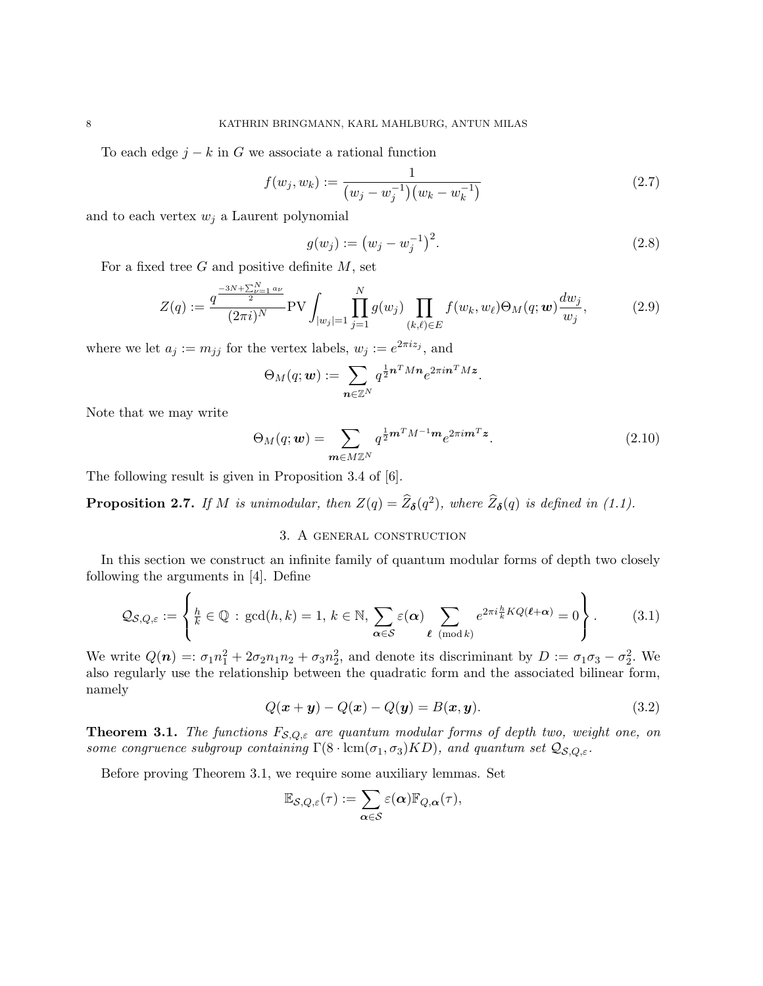To each edge  $j - k$  in G we associate a rational function

$$
f(w_j, w_k) := \frac{1}{(w_j - w_j^{-1})(w_k - w_k^{-1})}
$$
\n(2.7)

and to each vertex  $w_i$  a Laurent polynomial

$$
g(w_j) := (w_j - w_j^{-1})^2.
$$
\n(2.8)

.

For a fixed tree  $G$  and positive definite  $M$ , set

$$
Z(q) := \frac{q^{\frac{-3N+\sum_{\nu=1}^{N} a_{\nu}}{2}}}{(2\pi i)^N} \text{PV} \int_{|w_j|=1} \prod_{j=1}^{N} g(w_j) \prod_{(k,\ell) \in E} f(w_k, w_\ell) \Theta_M(q; \mathbf{w}) \frac{dw_j}{w_j}, \tag{2.9}
$$

where we let  $a_j := m_{jj}$  for the vertex labels,  $w_j := e^{2\pi i z_j}$ , and

$$
\Theta_M(q;\boldsymbol{w}) := \sum_{\boldsymbol{n}\in\mathbb{Z}^N} q^{\frac{1}{2}\boldsymbol{n}^T M \boldsymbol{n}} e^{2\pi i \boldsymbol{n}^T M \boldsymbol{z}}
$$

Note that we may write

 $\lambda$ 

$$
\Theta_M(q; \mathbf{w}) = \sum_{\mathbf{m} \in M \mathbb{Z}^N} q^{\frac{1}{2}\mathbf{m}^T M^{-1} \mathbf{m}} e^{2\pi i \mathbf{m}^T \mathbf{z}}.
$$
\n(2.10)

The following result is given in Proposition 3.4 of [6].

**Proposition 2.7.** If M is unimodular, then  $Z(q) = \hat{Z}_{\delta}(q^2)$ , where  $\hat{Z}_{\delta}(q)$  is defined in (1.1).

## 3. A general construction

In this section we construct an infinite family of quantum modular forms of depth two closely following the arguments in [4]. Define

$$
\mathcal{Q}_{\mathcal{S},Q,\varepsilon} := \left\{ \frac{h}{k} \in \mathbb{Q} \, : \, \gcd(h,k) = 1, \, k \in \mathbb{N}, \, \sum_{\alpha \in \mathcal{S}} \varepsilon(\alpha) \sum_{\ell \pmod{k}} e^{2\pi i \frac{h}{k} KQ(\ell+\alpha)} = 0 \right\}.
$$
 (3.1)

We write  $Q(n) =: \sigma_1 n_1^2 + 2\sigma_2 n_1 n_2 + \sigma_3 n_2^2$ , and denote its discriminant by  $D := \sigma_1 \sigma_3 - \sigma_2^2$ . We also regularly use the relationship between the quadratic form and the associated bilinear form, namely

$$
Q(x + y) - Q(x) - Q(y) = B(x, y).
$$
 (3.2)

**Theorem 3.1.** The functions  $F_{\mathcal{S},Q,\varepsilon}$  are quantum modular forms of depth two, weight one, on some congruence subgroup containing  $\Gamma(8 \cdot \text{lcm}(\sigma_1, \sigma_3)KD)$ , and quantum set  $\mathcal{Q}_{\mathcal{S},Q,\varepsilon}$ .

Before proving Theorem 3.1, we require some auxiliary lemmas. Set

$$
\mathbb{E}_{\mathcal{S},Q,\varepsilon}(\tau):=\sum_{\boldsymbol{\alpha}\in\mathcal{S}}\varepsilon(\boldsymbol{\alpha})\mathbb{F}_{Q,\boldsymbol{\alpha}}(\tau),
$$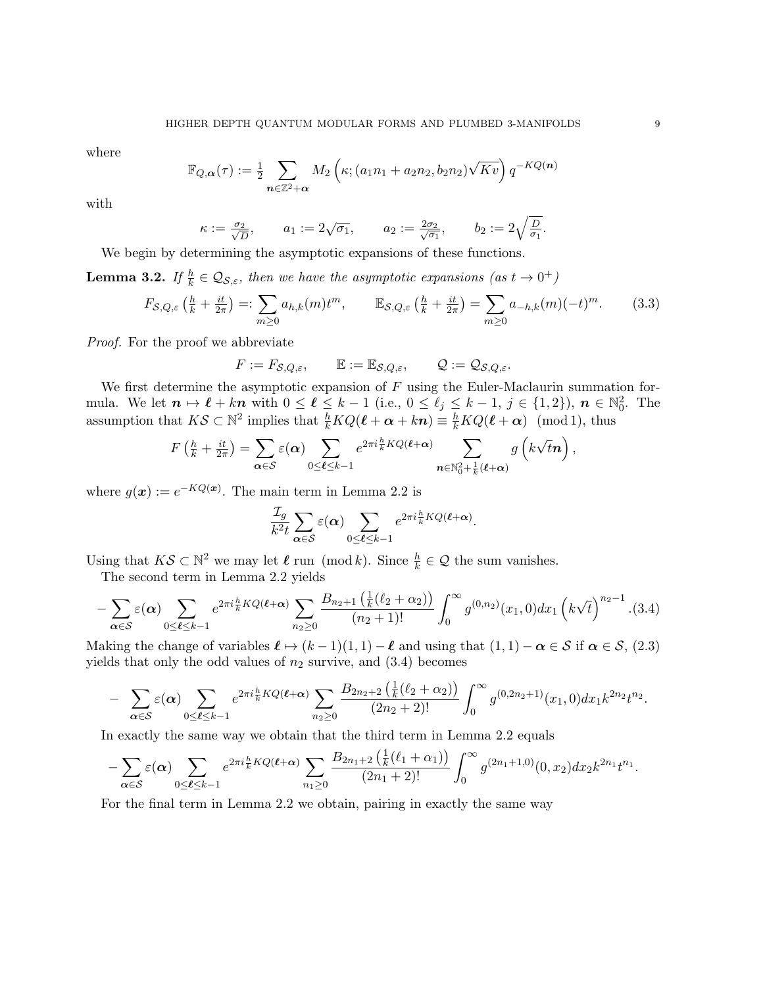where

$$
\mathbb{F}_{Q,\alpha}(\tau) := \frac{1}{2} \sum_{\mathbf{n} \in \mathbb{Z}^2 + \alpha} M_2\left(\kappa; (a_1n_1 + a_2n_2, b_2n_2)\sqrt{Kv}\right) q^{-KQ(\mathbf{n})}
$$

with

$$
\kappa:=\tfrac{\sigma_2}{\sqrt{D}},\qquad a_1:=2\sqrt{\sigma_1},\qquad a_2:=\tfrac{2\sigma_2}{\sqrt{\sigma_1}},\qquad b_2:=2\sqrt{\tfrac{D}{\sigma_1}}.
$$

We begin by determining the asymptotic expansions of these functions.

**Lemma 3.2.** If  $\frac{h}{k} \in \mathcal{Q}_{\mathcal{S},\varepsilon}$ , then we have the asymptotic expansions  $(as t \to 0^+)$ 

$$
F_{\mathcal{S},Q,\varepsilon}\left(\frac{h}{k} + \frac{it}{2\pi}\right) =: \sum_{m \ge 0} a_{h,k}(m)t^m, \qquad \mathbb{E}_{\mathcal{S},Q,\varepsilon}\left(\frac{h}{k} + \frac{it}{2\pi}\right) = \sum_{m \ge 0} a_{-h,k}(m)(-t)^m. \tag{3.3}
$$

Proof. For the proof we abbreviate

$$
F := F_{\mathcal{S}, Q, \varepsilon}, \qquad \mathbb{E} := \mathbb{E}_{\mathcal{S}, Q, \varepsilon}, \qquad \mathcal{Q} := \mathcal{Q}_{\mathcal{S}, Q, \varepsilon}.
$$

We first determine the asymptotic expansion of  $F$  using the Euler-Maclaurin summation formula. We let  $n \mapsto \ell + kn$  with  $0 \leq \ell \leq k - 1$  (i.e.,  $0 \leq \ell_j \leq k - 1$ ,  $j \in \{1, 2\}$ ),  $n \in \mathbb{N}_0^2$ . The assumption that  $K\mathcal{S} \subset \mathbb{N}^2$  implies that  $\frac{h}{k}KQ(\ell + \alpha + k\mathbf{n}) \equiv \frac{h}{k}KQ(\ell + \alpha) \pmod{1}$ , thus

$$
F\left(\frac{h}{k} + \frac{it}{2\pi}\right) = \sum_{\alpha \in \mathcal{S}} \varepsilon(\alpha) \sum_{0 \leq \ell \leq k-1} e^{2\pi i \frac{h}{k} KQ(\ell+\alpha)} \sum_{\mathbf{n} \in \mathbb{N}_0^2 + \frac{1}{k}(\ell+\alpha)} g\left(k\sqrt{t}\mathbf{n}\right),
$$

where  $g(x) := e^{-KQ(x)}$ . The main term in Lemma 2.2 is

$$
\frac{\mathcal{I}_g}{k^2 t} \sum_{\alpha \in \mathcal{S}} \varepsilon(\alpha) \sum_{0 \leq \ell \leq k-1} e^{2\pi i \frac{h}{k} KQ(\ell + \alpha)}.
$$

Using that  $K\mathcal{S} \subset \mathbb{N}^2$  we may let  $\ell$  run (mod k). Since  $\frac{h}{k} \in \mathcal{Q}$  the sum vanishes.

The second term in Lemma 2.2 yields

$$
-\sum_{\alpha \in \mathcal{S}} \varepsilon(\alpha) \sum_{0 \le \ell \le k-1} e^{2\pi i \frac{h}{k} KQ(\ell+\alpha)} \sum_{n_2 \ge 0} \frac{B_{n_2+1}\left(\frac{1}{k}(\ell_2+\alpha_2)\right)}{(n_2+1)!} \int_0^\infty g^{(0,n_2)}(x_1,0) dx_1 \left(k\sqrt{t}\right)^{n_2-1} . (3.4)
$$

Making the change of variables  $\ell \mapsto (k - 1)(1, 1) - \ell$  and using that  $(1, 1) - \alpha \in S$  if  $\alpha \in S$ , (2.3) yields that only the odd values of  $n_2$  survive, and  $(3.4)$  becomes

$$
- \sum_{\alpha \in \mathcal{S}} \varepsilon(\alpha) \sum_{0 \leq \ell \leq k-1} e^{2\pi i \frac{h}{k} KQ(\ell+\alpha)} \sum_{n_2 \geq 0} \frac{B_{2n_2+2}\left(\frac{1}{k}(\ell_2+\alpha_2)\right)}{(2n_2+2)!} \int_0^\infty g^{(0,2n_2+1)}(x_1,0) dx_1 k^{2n_2} t^{n_2}.
$$

In exactly the same way we obtain that the third term in Lemma 2.2 equals

$$
-\sum_{\alpha\in\mathcal{S}}\varepsilon(\alpha)\sum_{0\leq\ell\leq k-1}e^{2\pi i\frac{h}{k}KQ(\ell+\alpha)}\sum_{n_1\geq 0}\frac{B_{2n_1+2}\left(\frac{1}{k}(\ell_1+\alpha_1)\right)}{(2n_1+2)!}\int_0^\infty g^{(2n_1+1,0)}(0,x_2)dx_2k^{2n_1}t^{n_1}.
$$

For the final term in Lemma 2.2 we obtain, pairing in exactly the same way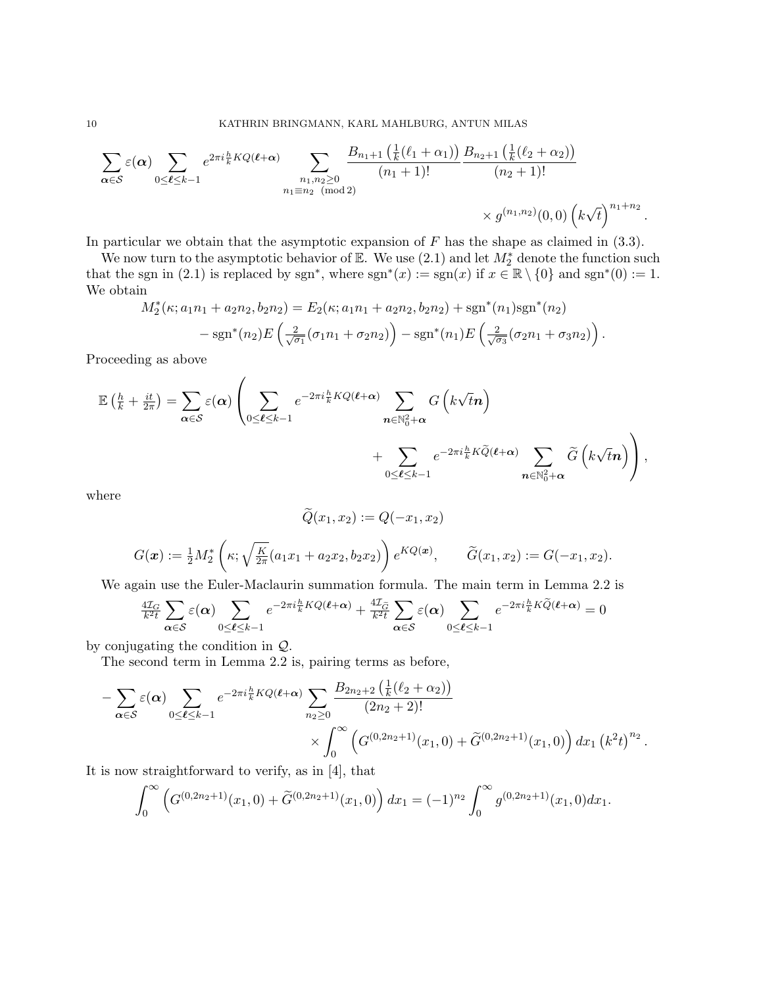$$
\sum_{\alpha \in \mathcal{S}} \varepsilon(\alpha) \sum_{0 \leq \ell \leq k-1} e^{2\pi i \frac{h}{k} KQ(\ell+\alpha)} \sum_{\substack{n_1, n_2 \geq 0 \\ n_1 \equiv n_2 \pmod{2}}} \frac{B_{n_1+1} \left(\frac{1}{k} (\ell_1 + \alpha_1)\right) B_{n_2+1} \left(\frac{1}{k} (\ell_2 + \alpha_2)\right)}{(n_1+1)!} \times g^{(n_1, n_2)}(0, 0) \left(k\sqrt{t}\right)^{n_1+n_2}.
$$

In particular we obtain that the asymptotic expansion of  $F$  has the shape as claimed in  $(3.3)$ .

We now turn to the asymptotic behavior of  $\mathbb{E}$ . We use  $(2.1)$  and let  $M_2^*$  denote the function such that the sgn in (2.1) is replaced by sgn<sup>\*</sup>, where sgn<sup>\*</sup>(x) := sgn(x) if  $x \in \mathbb{R} \setminus \{0\}$  and sgn<sup>\*</sup>(0) := 1. We obtain

$$
M_2^*(\kappa; a_1n_1 + a_2n_2, b_2n_2) = E_2(\kappa; a_1n_1 + a_2n_2, b_2n_2) + \operatorname{sgn}^*(n_1)\operatorname{sgn}^*(n_2)
$$
  
- 
$$
\operatorname{sgn}^*(n_2)E\left(\frac{2}{\sqrt{\sigma_1}}(\sigma_1n_1 + \sigma_2n_2)\right) - \operatorname{sgn}^*(n_1)E\left(\frac{2}{\sqrt{\sigma_3}}(\sigma_2n_1 + \sigma_3n_2)\right).
$$

Proceeding as above

$$
\mathbb{E}\left(\frac{h}{k} + \frac{it}{2\pi}\right) = \sum_{\alpha \in \mathcal{S}} \varepsilon(\alpha) \left( \sum_{0 \leq \ell \leq k-1} e^{-2\pi i \frac{h}{k} KQ(\ell+\alpha)} \sum_{n \in \mathbb{N}_0^2 + \alpha} G\left(k\sqrt{t}n\right) + \sum_{0 \leq \ell \leq k-1} e^{-2\pi i \frac{h}{k} K\widetilde{Q}(\ell+\alpha)} \sum_{n \in \mathbb{N}_0^2 + \alpha} \widetilde{G}\left(k\sqrt{t}n\right) \right),
$$

where

$$
Q(x_1, x_2) := Q(-x_1, x_2)
$$

$$
G(\boldsymbol{x}) := \frac{1}{2} M_2^* \left( \kappa; \sqrt{\frac{K}{2\pi}} (a_1 x_1 + a_2 x_2, b_2 x_2) \right) e^{KQ(\boldsymbol{x})}, \qquad \widetilde{G}(x_1, x_2) := G(-x_1, x_2).
$$

We again use the Euler-Maclaurin summation formula. The main term in Lemma 2.2 is

$$
\frac{4\mathcal{I}_G}{k^2t} \sum_{\alpha \in \mathcal{S}} \varepsilon(\alpha) \sum_{0 \le \ell \le k-1} e^{-2\pi i \frac{h}{k} KQ(\ell+\alpha)} + \frac{4\mathcal{I}_{\widetilde{G}}}{k^2t} \sum_{\alpha \in \mathcal{S}} \varepsilon(\alpha) \sum_{0 \le \ell \le k-1} e^{-2\pi i \frac{h}{k} K\widetilde{Q}(\ell+\alpha)} = 0
$$

by conjugating the condition in Q.

The second term in Lemma 2.2 is, pairing terms as before,

$$
- \sum_{\alpha \in \mathcal{S}} \varepsilon(\alpha) \sum_{0 \leq \ell \leq k-1} e^{-2\pi i \frac{h}{k} KQ(\ell+\alpha)} \sum_{n_2 \geq 0} \frac{B_{2n_2+2} \left(\frac{1}{k} (\ell_2 + \alpha_2)\right)}{(2n_2+2)!} \times \int_0^\infty \left( G^{(0,2n_2+1)}(x_1,0) + \widetilde{G}^{(0,2n_2+1)}(x_1,0) \right) dx_1 \left( k^2 t \right)^{n_2}.
$$

It is now straightforward to verify, as in [4], that

$$
\int_0^\infty \left( G^{(0,2n_2+1)}(x_1,0) + \widetilde{G}^{(0,2n_2+1)}(x_1,0) \right) dx_1 = (-1)^{n_2} \int_0^\infty g^{(0,2n_2+1)}(x_1,0) dx_1.
$$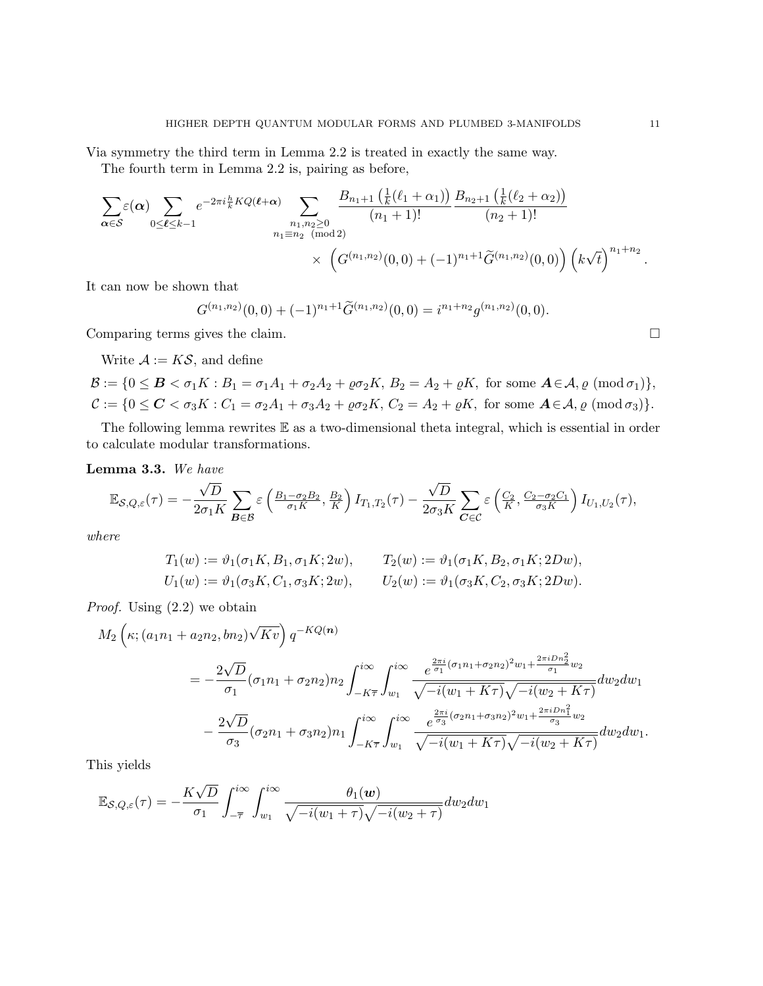Via symmetry the third term in Lemma 2.2 is treated in exactly the same way.

The fourth term in Lemma 2.2 is, pairing as before,

$$
\sum_{\alpha \in S} \varepsilon(\alpha) \sum_{0 \leq \ell \leq k-1} e^{-2\pi i \frac{h}{k} KQ(\ell+\alpha)} \sum_{\substack{n_1, n_2 \geq 0 \\ n_1 \equiv n_2 \pmod{2}}} \frac{B_{n_1+1}\left(\frac{1}{k}(\ell_1+\alpha_1)\right)}{(n_1+1)!} \frac{B_{n_2+1}\left(\frac{1}{k}(\ell_2+\alpha_2)\right)}{(n_2+1)!} \times \left(G^{(n_1,n_2)}(0,0) + (-1)^{n_1+1} \widetilde{G}^{(n_1,n_2)}(0,0)\right) \left(k\sqrt{t}\right)^{n_1+n_2}.
$$

It can now be shown that

$$
G^{(n_1,n_2)}(0,0) + (-1)^{n_1+1} \widetilde{G}^{(n_1,n_2)}(0,0) = i^{n_1+n_2} g^{(n_1,n_2)}(0,0).
$$

Comparing terms gives the claim.

Write  $A := K\mathcal{S}$ , and define

$$
\mathcal{B} := \{0 \leq \mathbf{B} < \sigma_1 K : B_1 = \sigma_1 A_1 + \sigma_2 A_2 + \varrho \sigma_2 K, B_2 = A_2 + \varrho K, \text{ for some } \mathbf{A} \in \mathcal{A}, \varrho \text{ (mod } \sigma_1)\},
$$
\n
$$
\mathcal{C} := \{0 \leq \mathbf{C} < \sigma_3 K : C_1 = \sigma_2 A_1 + \sigma_3 A_2 + \varrho \sigma_2 K, C_2 = A_2 + \varrho K, \text{ for some } \mathbf{A} \in \mathcal{A}, \varrho \text{ (mod } \sigma_3)\}.
$$

The following lemma rewrites E as a two-dimensional theta integral, which is essential in order to calculate modular transformations.

**Lemma 3.3.** We have

$$
\mathbb{E}_{\mathcal{S},Q,\varepsilon}(\tau) = -\frac{\sqrt{D}}{2\sigma_1 K} \sum_{\mathcal{B}\in\mathcal{B}} \varepsilon \left(\frac{B_1-\sigma_2 B_2}{\sigma_1 K}, \frac{B_2}{K}\right) I_{T_1,T_2}(\tau) - \frac{\sqrt{D}}{2\sigma_3 K} \sum_{\mathcal{C}\in\mathcal{C}} \varepsilon \left(\frac{C_2}{K}, \frac{C_2-\sigma_2 C_1}{\sigma_3 K}\right) I_{U_1,U_2}(\tau),
$$

where

$$
T_1(w) := \vartheta_1(\sigma_1 K, B_1, \sigma_1 K; 2w), \qquad T_2(w) := \vartheta_1(\sigma_1 K, B_2, \sigma_1 K; 2Dw),
$$
  
\n
$$
U_1(w) := \vartheta_1(\sigma_3 K, C_1, \sigma_3 K; 2w), \qquad U_2(w) := \vartheta_1(\sigma_3 K, C_2, \sigma_3 K; 2Dw).
$$

Proof. Using (2.2) we obtain

$$
M_{2}\left(\kappa;(a_{1}n_{1}+a_{2}n_{2},bn_{2})\sqrt{Kv}\right)q^{-KQ(n)}=-\frac{2\sqrt{D}}{\sigma_{1}}(\sigma_{1}n_{1}+\sigma_{2}n_{2})n_{2}\int_{-K\overline{\tau}}^{i\infty}\int_{w_{1}}^{i\infty}\frac{e^{\frac{2\pi i}{\sigma_{1}}(\sigma_{1}n_{1}+\sigma_{2}n_{2})^{2}w_{1}+\frac{2\pi i Dn_{2}^{2}}{\sigma_{1}}w_{2}}}{\sqrt{-i(w_{1}+K\tau)}\sqrt{-i(w_{2}+K\tau)}}dw_{2}dw_{1}-\frac{2\sqrt{D}}{\sigma_{3}}(\sigma_{2}n_{1}+\sigma_{3}n_{2})n_{1}\int_{-K\overline{\tau}}^{i\infty}\int_{w_{1}}^{i\infty}\frac{e^{\frac{2\pi i}{\sigma_{3}}(\sigma_{2}n_{1}+\sigma_{3}n_{2})^{2}w_{1}+\frac{2\pi i Dn_{1}^{2}}{\sigma_{3}}w_{2}}}{\sqrt{-i(w_{1}+K\tau)}\sqrt{-i(w_{2}+K\tau)}}dw_{2}dw_{1}.
$$

This yields

 $\sim$ 

$$
\mathbb{E}_{\mathcal{S},Q,\varepsilon}(\tau) = -\frac{K\sqrt{D}}{\sigma_1} \int_{-\overline{\tau}}^{i\infty} \int_{w_1}^{i\infty} \frac{\theta_1(\boldsymbol{w})}{\sqrt{-i(w_1+\tau)}\sqrt{-i(w_2+\tau)}} dw_2 dw_1
$$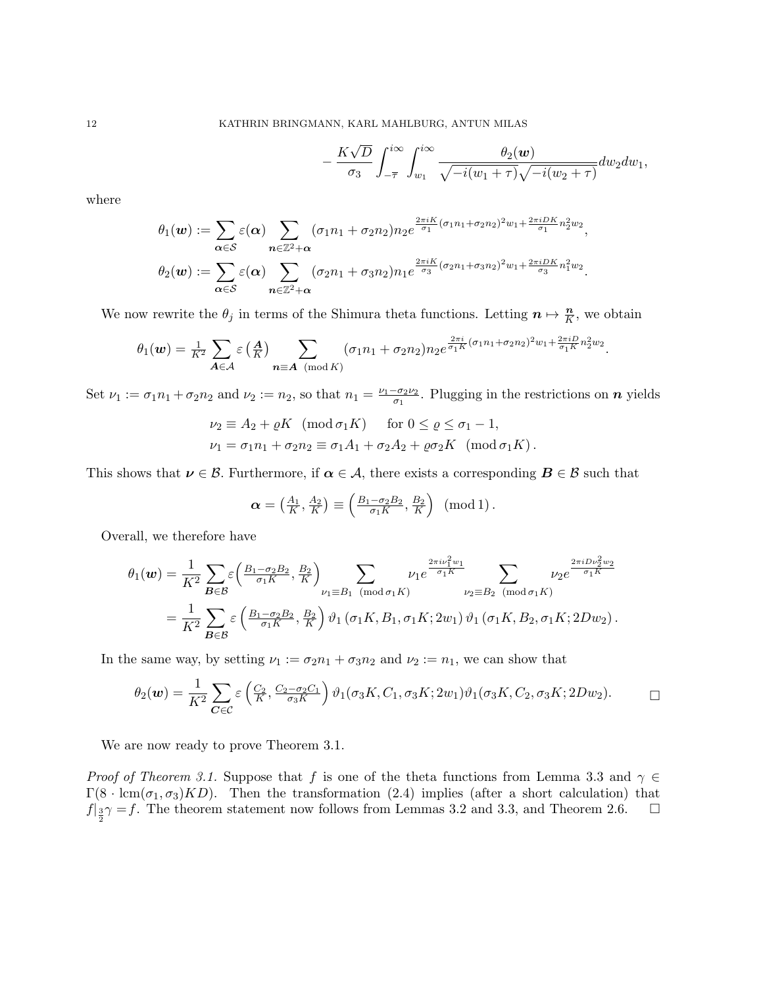−

$$
\frac{K\sqrt{D}}{\sigma_3}\int_{-\overline{\tau}}^{i\infty}\int_{w_1}^{i\infty}\frac{\theta_2(w)}{\sqrt{-i(w_1+\tau)}\sqrt{-i(w_2+\tau)}}dw_2dw_1,
$$

where

$$
\theta_1(\boldsymbol{w}) := \sum_{\boldsymbol{\alpha} \in \mathcal{S}} \varepsilon(\boldsymbol{\alpha}) \sum_{\boldsymbol{n} \in \mathbb{Z}^2 + \boldsymbol{\alpha}} (\sigma_1 n_1 + \sigma_2 n_2) n_2 e^{\frac{2\pi i K}{\sigma_1} (\sigma_1 n_1 + \sigma_2 n_2)^2 w_1 + \frac{2\pi i D K}{\sigma_1} n_2^2 w_2},
$$

$$
\theta_2(\boldsymbol{w}) := \sum_{\boldsymbol{\alpha} \in \mathcal{S}} \varepsilon(\boldsymbol{\alpha}) \sum_{\boldsymbol{n} \in \mathbb{Z}^2 + \boldsymbol{\alpha}} (\sigma_2 n_1 + \sigma_3 n_2) n_1 e^{\frac{2\pi i K}{\sigma_3} (\sigma_2 n_1 + \sigma_3 n_2)^2 w_1 + \frac{2\pi i D K}{\sigma_3} n_1^2 w_2}.
$$

We now rewrite the  $\theta_j$  in terms of the Shimura theta functions. Letting  $n \mapsto \frac{n}{K}$ , we obtain

$$
\theta_1(\boldsymbol{w}) = \frac{1}{K^2} \sum_{\boldsymbol{A} \in \mathcal{A}} \varepsilon \left(\frac{\boldsymbol{A}}{K}\right) \sum_{\boldsymbol{n} \equiv \boldsymbol{A} \pmod{K}} (\sigma_1 n_1 + \sigma_2 n_2) n_2 e^{\frac{2\pi i}{\sigma_1 K} (\sigma_1 n_1 + \sigma_2 n_2)^2 w_1 + \frac{2\pi i D}{\sigma_1 K} n_2^2 w_2}.
$$

Set  $\nu_1 := \sigma_1 n_1 + \sigma_2 n_2$  and  $\nu_2 := n_2$ , so that  $n_1 = \frac{\nu_1 - \sigma_2 \nu_2}{\sigma_1}$  $\frac{-\sigma_2 \nu_2}{\sigma_1}$ . Plugging in the restrictions on  $n$  yields

$$
\nu_2 \equiv A_2 + \varrho K \pmod{\sigma_1 K} \quad \text{for } 0 \le \varrho \le \sigma_1 - 1,
$$
  

$$
\nu_1 = \sigma_1 n_1 + \sigma_2 n_2 \equiv \sigma_1 A_1 + \sigma_2 A_2 + \varrho \sigma_2 K \pmod{\sigma_1 K}.
$$

This shows that  $\nu \in \mathcal{B}$ . Furthermore, if  $\alpha \in \mathcal{A}$ , there exists a corresponding  $B \in \mathcal{B}$  such that

$$
\boldsymbol{\alpha} = \left(\frac{A_1}{K}, \frac{A_2}{K}\right) \equiv \left(\frac{B_1 - \sigma_2 B_2}{\sigma_1 K}, \frac{B_2}{K}\right) \pmod{1}.
$$

Overall, we therefore have

$$
\theta_1(\boldsymbol{w}) = \frac{1}{K^2} \sum_{\boldsymbol{B} \in \mathcal{B}} \varepsilon \left( \frac{B_1 - \sigma_2 B_2}{\sigma_1 K}, \frac{B_2}{K} \right)_{\nu_1 \equiv B_1 \pmod{\sigma_1 K}} \sum_{\nu_2 \equiv B_2 \pmod{\sigma_1 K}} \frac{2 \pi i \nu_1^2 w_1}{\nu_2 \equiv B_2 \pmod{\sigma_1 K}} \sum_{\nu_2 \equiv B_2 \pmod{\sigma_1 K}} \frac{2 \pi i D \nu_2^2 w_2}{\nu_1 \varepsilon} \n= \frac{1}{K^2} \sum_{\boldsymbol{B} \in \mathcal{B}} \varepsilon \left( \frac{B_1 - \sigma_2 B_2}{\sigma_1 K}, \frac{B_2}{K} \right) \vartheta_1 (\sigma_1 K, B_1, \sigma_1 K; 2w_1) \vartheta_1 (\sigma_1 K, B_2, \sigma_1 K; 2Dw_2).
$$

In the same way, by setting  $\nu_1 := \sigma_2 n_1 + \sigma_3 n_2$  and  $\nu_2 := n_1$ , we can show that

$$
\theta_2(\boldsymbol{w}) = \frac{1}{K^2} \sum_{\boldsymbol{C} \in \mathcal{C}} \varepsilon \left( \frac{C_2}{K}, \frac{C_2 - \sigma_2 C_1}{\sigma_3 K} \right) \vartheta_1(\sigma_3 K, C_1, \sigma_3 K; 2w_1) \vartheta_1(\sigma_3 K, C_2, \sigma_3 K; 2Dw_2).
$$

We are now ready to prove Theorem 3.1.

*Proof of Theorem 3.1.* Suppose that f is one of the theta functions from Lemma 3.3 and  $\gamma \in$  $\Gamma(8 \cdot \text{lcm}(\sigma_1, \sigma_3)KD)$ . Then the transformation (2.4) implies (after a short calculation) that  $f|_{\frac{3}{2}}\gamma = f$ . The theorem statement now follows from Lemmas 3.2 and 3.3, and Theorem 2.6.  $\Box$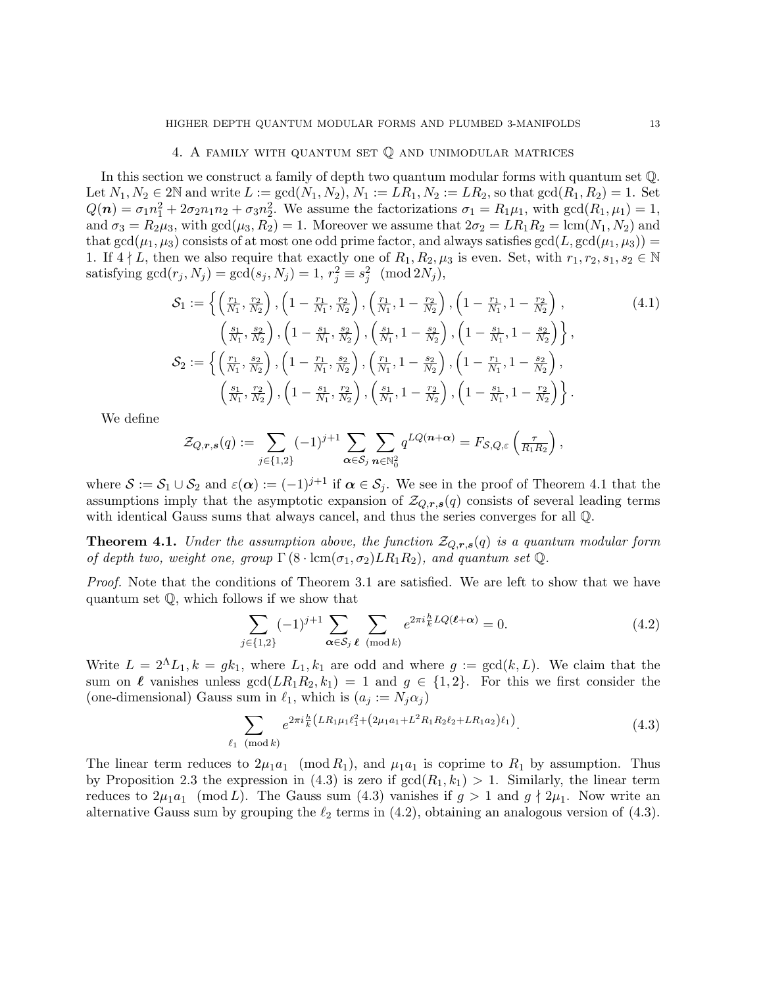#### 4. A family with quantum set Q and unimodular matrices

In this section we construct a family of depth two quantum modular forms with quantum set Q. Let  $N_1, N_2 \in 2\mathbb{N}$  and write  $L := \gcd(N_1, N_2), N_1 := LR_1, N_2 := LR_2$ , so that  $\gcd(R_1, R_2) = 1$ . Set  $Q(n) = \sigma_1 n_1^2 + 2\sigma_2 n_1 n_2 + \sigma_3 n_2^2$ . We assume the factorizations  $\sigma_1 = R_1 \mu_1$ , with  $gcd(R_1, \mu_1) = 1$ , and  $\sigma_3 = R_2\mu_3$ , with  $gcd(\mu_3, R_2) = 1$ . Moreover we assume that  $2\sigma_2 = LR_1R_2 = lcm(N_1, N_2)$  and that  $gcd(\mu_1, \mu_3)$  consists of at most one odd prime factor, and always satisfies  $gcd(L, gcd(\mu_1, \mu_3))$  = 1. If  $4 \nmid L$ , then we also require that exactly one of  $R_1, R_2, \mu_3$  is even. Set, with  $r_1, r_2, s_1, s_2 \in \mathbb{N}$ satisfying  $gcd(r_j, N_j) = gcd(s_j, N_j) = 1, r_j^2 \equiv s_j^2 \pmod{2N_j}$ ,

$$
\mathcal{S}_{1} := \left\{ \left( \frac{r_{1}}{N_{1}}, \frac{r_{2}}{N_{2}} \right), \left( 1 - \frac{r_{1}}{N_{1}}, \frac{r_{2}}{N_{2}} \right), \left( \frac{r_{1}}{N_{1}}, 1 - \frac{r_{2}}{N_{2}} \right), \left( 1 - \frac{r_{1}}{N_{1}}, 1 - \frac{r_{2}}{N_{2}} \right), \right\}
$$
\n
$$
\left( \frac{s_{1}}{N_{1}}, \frac{s_{2}}{N_{2}} \right), \left( 1 - \frac{s_{1}}{N_{1}}, \frac{s_{2}}{N_{2}} \right), \left( \frac{s_{1}}{N_{1}}, 1 - \frac{s_{2}}{N_{2}} \right), \left( 1 - \frac{s_{1}}{N_{1}}, 1 - \frac{s_{2}}{N_{2}} \right) \right\},
$$
\n
$$
\mathcal{S}_{2} := \left\{ \left( \frac{r_{1}}{N_{1}}, \frac{s_{2}}{N_{2}} \right), \left( 1 - \frac{r_{1}}{N_{1}}, \frac{s_{2}}{N_{2}} \right), \left( \frac{r_{1}}{N_{1}}, 1 - \frac{s_{2}}{N_{2}} \right), \left( 1 - \frac{r_{1}}{N_{1}}, 1 - \frac{s_{2}}{N_{2}} \right), \left( 1 - \frac{r_{1}}{N_{1}}, 1 - \frac{s_{2}}{N_{2}} \right) \right\},
$$
\n
$$
\left( \frac{s_{1}}{N_{1}}, \frac{r_{2}}{N_{2}} \right), \left( 1 - \frac{s_{1}}{N_{1}}, \frac{r_{2}}{N_{2}} \right), \left( \frac{s_{1}}{N_{1}}, 1 - \frac{r_{2}}{N_{2}} \right), \left( 1 - \frac{s_{1}}{N_{1}}, 1 - \frac{r_{2}}{N_{2}} \right) \right\}.
$$
\n(4.1)

We define

$$
\mathcal{Z}_{Q,\boldsymbol{r},\boldsymbol{s}}(q) := \sum_{j\in\{1,2\}} (-1)^{j+1} \sum_{\boldsymbol{\alpha}\in\mathcal{S}_j} \sum_{\boldsymbol{n}\in\mathbb{N}_0^2} q^{LQ(\boldsymbol{n}+\boldsymbol{\alpha})} = F_{\mathcal{S},Q,\varepsilon}\left(\frac{\tau}{R_1R_2}\right),
$$

where  $S := S_1 \cup S_2$  and  $\varepsilon(\alpha) := (-1)^{j+1}$  if  $\alpha \in S_j$ . We see in the proof of Theorem 4.1 that the assumptions imply that the asymptotic expansion of  $\mathcal{Z}_{Q,r,s}(q)$  consists of several leading terms with identical Gauss sums that always cancel, and thus the series converges for all Q.

**Theorem 4.1.** Under the assumption above, the function  $\mathcal{Z}_{Q,r,s}(q)$  is a quantum modular form of depth two, weight one, group  $\Gamma(8 \cdot \text{lcm}(\sigma_1, \sigma_2)LR_1R_2)$ , and quantum set Q.

Proof. Note that the conditions of Theorem 3.1 are satisfied. We are left to show that we have quantum set Q, which follows if we show that

$$
\sum_{j \in \{1,2\}} (-1)^{j+1} \sum_{\alpha \in \mathcal{S}_j} \sum_{\ell \pmod{k}} e^{2\pi i \frac{h}{k} LQ(\ell + \alpha)} = 0.
$$
 (4.2)

Write  $L = 2^{\Lambda}L_1, k = g k_1$ , where  $L_1, k_1$  are odd and where  $g := \gcd(k, L)$ . We claim that the sum on  $\ell$  vanishes unless  $gcd(LR_1R_2, k_1) = 1$  and  $g \in \{1, 2\}$ . For this we first consider the (one-dimensional) Gauss sum in  $\ell_1$ , which is  $(a_j := N_j \alpha_j )$ 

$$
\sum_{\ell_1 \pmod{k}} e^{2\pi i \frac{h}{k} \left( LR_1 \mu_1 \ell_1^2 + \left( 2\mu_1 a_1 + L^2 R_1 R_2 \ell_2 + LR_1 a_2 \right) \ell_1 \right)}.
$$
\n(4.3)

The linear term reduces to  $2\mu_1a_1 \pmod{R_1}$ , and  $\mu_1a_1$  is coprime to  $R_1$  by assumption. Thus by Proposition 2.3 the expression in (4.3) is zero if  $gcd(R_1, k_1) > 1$ . Similarly, the linear term reduces to  $2\mu_1a_1 \pmod{L}$ . The Gauss sum (4.3) vanishes if  $g > 1$  and  $g \nmid 2\mu_1$ . Now write an alternative Gauss sum by grouping the  $\ell_2$  terms in (4.2), obtaining an analogous version of (4.3).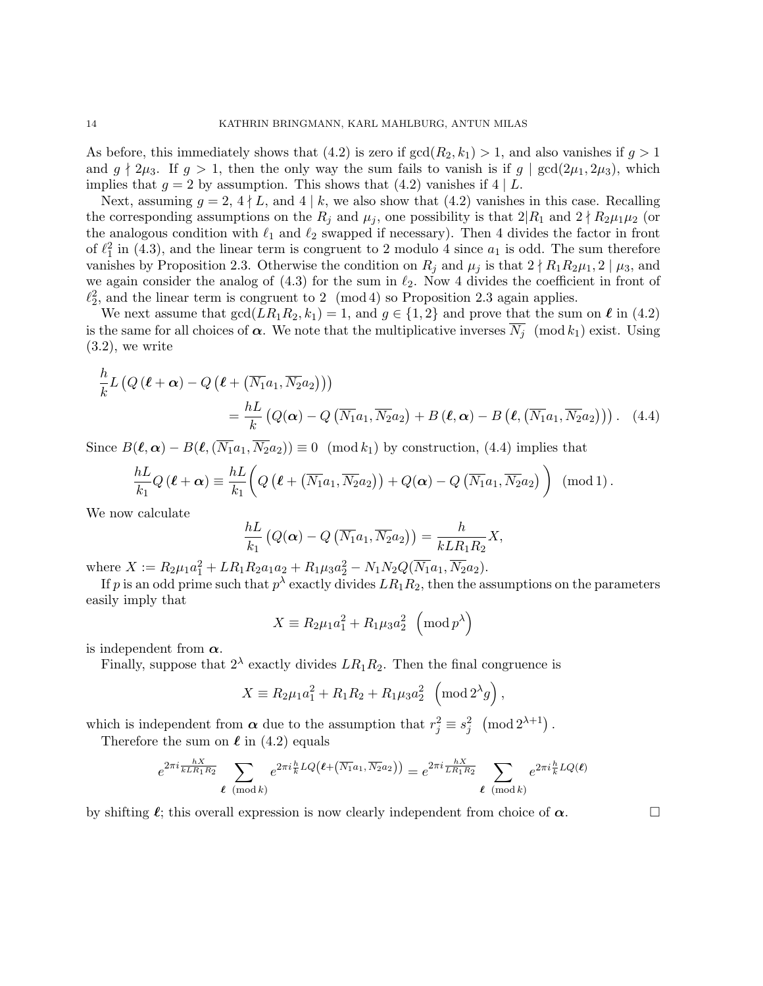As before, this immediately shows that (4.2) is zero if  $gcd(R_2, k_1) > 1$ , and also vanishes if  $g > 1$ and  $g \nmid 2\mu_3$ . If  $g > 1$ , then the only way the sum fails to vanish is if  $g \mid \gcd(2\mu_1, 2\mu_3)$ , which implies that  $g = 2$  by assumption. This shows that (4.2) vanishes if 4 | L.

Next, assuming  $g = 2, 4 \nmid L$ , and  $4 \mid k$ , we also show that (4.2) vanishes in this case. Recalling the corresponding assumptions on the  $R_j$  and  $\mu_j$ , one possibility is that  $2|R_1$  and  $2\nmid R_2\mu_1\mu_2$  (or the analogous condition with  $\ell_1$  and  $\ell_2$  swapped if necessary). Then 4 divides the factor in front of  $\ell_1^2$  in (4.3), and the linear term is congruent to 2 modulo 4 since  $a_1$  is odd. The sum therefore vanishes by Proposition 2.3. Otherwise the condition on  $R_j$  and  $\mu_j$  is that  $2 \nmid R_1R_2\mu_1, 2 \mid \mu_3$ , and we again consider the analog of  $(4.3)$  for the sum in  $\ell_2$ . Now 4 divides the coefficient in front of  $\ell_2^2$ , and the linear term is congruent to 2 (mod 4) so Proposition 2.3 again applies.

We next assume that  $gcd(LR_1R_2, k_1) = 1$ , and  $g \in \{1, 2\}$  and prove that the sum on  $\ell$  in (4.2) is the same for all choices of  $\alpha$ . We note that the multiplicative inverses  $\overline{N}_i \pmod{k_1}$  exist. Using  $(3.2)$ , we write

$$
\frac{h}{k}L\left(Q\left(\ell+\alpha\right)-Q\left(\ell+\left(\overline{N_1}a_1,\overline{N_2}a_2\right)\right)\right)
$$
\n
$$
=\frac{hL}{k}\left(Q(\alpha)-Q\left(\overline{N_1}a_1,\overline{N_2}a_2\right)+B\left(\ell,\alpha\right)-B\left(\ell,\left(\overline{N_1}a_1,\overline{N_2}a_2\right)\right)\right). (4.4)
$$

Since  $B(\ell, \alpha) - B(\ell, (\overline{N_1}a_1, \overline{N_2}a_2)) \equiv 0 \pmod{k_1}$  by construction, (4.4) implies that

$$
\frac{hL}{k_1}Q(\boldsymbol{\ell}+\boldsymbol{\alpha})\equiv\frac{hL}{k_1}\bigg(Q\left(\boldsymbol{\ell}+(\overline{N_1}a_1,\overline{N_2}a_2)\right)+Q(\boldsymbol{\alpha})-Q\left(\overline{N_1}a_1,\overline{N_2}a_2\right)\bigg)\pmod{1}.
$$

We now calculate

$$
\frac{hL}{k_1}\left(Q(\boldsymbol{\alpha})-Q\left(\overline{N_1}a_1,\overline{N_2}a_2\right)\right)=\frac{h}{kLR_1R_2}X,
$$

where  $X := R_2 \mu_1 a_1^2 + LR_1 R_2 a_1 a_2 + R_1 \mu_3 a_2^2 - N_1 N_2 Q(\overline{N_1} a_1, \overline{N_2} a_2).$ 

If  $p$  is an odd prime such that  $p^{\lambda}$  exactly divides  $LR_1R_2$ , then the assumptions on the parameters easily imply that

$$
X \equiv R_2 \mu_1 a_1^2 + R_1 \mu_3 a_2^2 \pmod{p^{\lambda}}
$$

is independent from  $\alpha$ .

Finally, suppose that  $2^{\lambda}$  exactly divides  $LR_1R_2$ . Then the final congruence is

$$
X \equiv R_2 \mu_1 a_1^2 + R_1 R_2 + R_1 \mu_3 a_2^2 \, \left( \text{mod } 2^{\lambda} g \right),
$$

which is independent from  $\alpha$  due to the assumption that  $r_j^2 \equiv s_j^2 \pmod{2^{\lambda+1}}$ .

Therefore the sum on  $\ell$  in (4.2) equals

$$
e^{2\pi i \frac{hX}{kLR_1R_2}} \sum_{\ell \pmod{k}} e^{2\pi i \frac{h}{k} LQ\left(\ell + (\overline{N_1}a_1, \overline{N_2}a_2)\right)} = e^{2\pi i \frac{hX}{LR_1R_2}} \sum_{\ell \pmod{k}} e^{2\pi i \frac{h}{k} LQ(\ell)}
$$

by shifting  $\ell$ ; this overall expression is now clearly independent from choice of  $\alpha$ .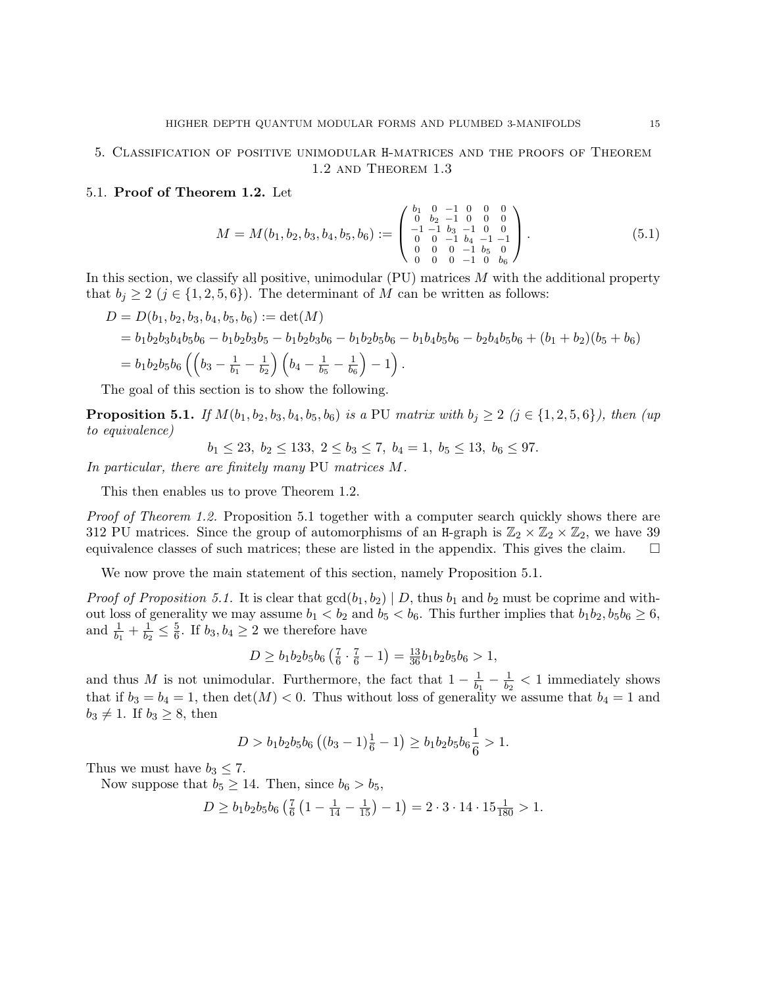## 5. Classification of positive unimodular H-matrices and the proofs of Theorem 1.2 and Theorem 1.3

## 5.1. Proof of Theorem 1.2. Let

$$
M = M(b_1, b_2, b_3, b_4, b_5, b_6) := \begin{pmatrix} b_1 & 0 & -1 & 0 & 0 & 0 \\ 0 & b_2 & -1 & 0 & 0 & 0 \\ -1 & -1 & b_3 & -1 & 0 & 0 \\ 0 & 0 & -1 & b_4 & -1 & -1 \\ 0 & 0 & 0 & -1 & b_5 & 0 \\ 0 & 0 & 0 & -1 & 0 & b_6 \end{pmatrix}.
$$
 (5.1)

In this section, we classify all positive, unimodular  $(PU)$  matrices M with the additional property that  $b_j \geq 2$   $(j \in \{1, 2, 5, 6\})$ . The determinant of M can be written as follows:

$$
D = D(b_1, b_2, b_3, b_4, b_5, b_6) := det(M)
$$
  
=  $b_1b_2b_3b_4b_5b_6 - b_1b_2b_3b_5 - b_1b_2b_3b_6 - b_1b_2b_5b_6 - b_1b_4b_5b_6 - b_2b_4b_5b_6 + (b_1 + b_2)(b_5 + b_6)$   
=  $b_1b_2b_5b_6\left(\left(b_3 - \frac{1}{b_1} - \frac{1}{b_2}\right)\left(b_4 - \frac{1}{b_5} - \frac{1}{b_6}\right) - 1\right).$ 

The goal of this section is to show the following.

**Proposition 5.1.** If  $M(b_1, b_2, b_3, b_4, b_5, b_6)$  is a PU matrix with  $b_j \geq 2$  ( $j \in \{1, 2, 5, 6\}$ ), then (up to equivalence)

$$
b_1 \le 23, \ b_2 \le 133, \ 2 \le b_3 \le 7, \ b_4 = 1, \ b_5 \le 13, \ b_6 \le 97.
$$

In particular, there are finitely many PU matrices M.

This then enables us to prove Theorem 1.2.

Proof of Theorem 1.2. Proposition 5.1 together with a computer search quickly shows there are 312 PU matrices. Since the group of automorphisms of an H-graph is  $\mathbb{Z}_2 \times \mathbb{Z}_2 \times \mathbb{Z}_2$ , we have 39 equivalence classes of such matrices; these are listed in the appendix. This gives the claim.  $\square$ 

We now prove the main statement of this section, namely Proposition 5.1.

*Proof of Proposition 5.1.* It is clear that  $gcd(b_1, b_2) | D$ , thus  $b_1$  and  $b_2$  must be coprime and without loss of generality we may assume  $b_1 < b_2$  and  $b_5 < b_6$ . This further implies that  $b_1b_2, b_5b_6 \ge 6$ , and  $\frac{1}{b_1} + \frac{1}{b_2}$  $\frac{1}{b_2} \leq \frac{5}{6}$  $\frac{5}{6}$ . If  $b_3, b_4 \geq 2$  we therefore have

$$
D \ge b_1 b_2 b_5 b_6 \left(\frac{7}{6} \cdot \frac{7}{6} - 1\right) = \frac{13}{36} b_1 b_2 b_5 b_6 > 1,
$$

and thus M is not unimodular. Furthermore, the fact that  $1 - \frac{1}{b_1}$  $\frac{1}{b_1}-\frac{1}{b_2}$  $\frac{1}{b_2}$  < 1 immediately shows that if  $b_3 = b_4 = 1$ , then  $\det(M) < 0$ . Thus without loss of generality we assume that  $b_4 = 1$  and  $b_3 \neq 1$ . If  $b_3 \geq 8$ , then

$$
D > b_1 b_2 b_5 b_6 \left( (b_3 - 1) \frac{1}{6} - 1 \right) \ge b_1 b_2 b_5 b_6 \frac{1}{6} > 1.
$$

Thus we must have  $b_3 \leq 7$ .

Now suppose that  $b_5 \ge 14$ . Then, since  $b_6 > b_5$ ,

$$
D \ge b_1 b_2 b_5 b_6 \left(\frac{7}{6} \left(1 - \frac{1}{14} - \frac{1}{15}\right) - 1\right) = 2 \cdot 3 \cdot 14 \cdot 15 \frac{1}{180} > 1.
$$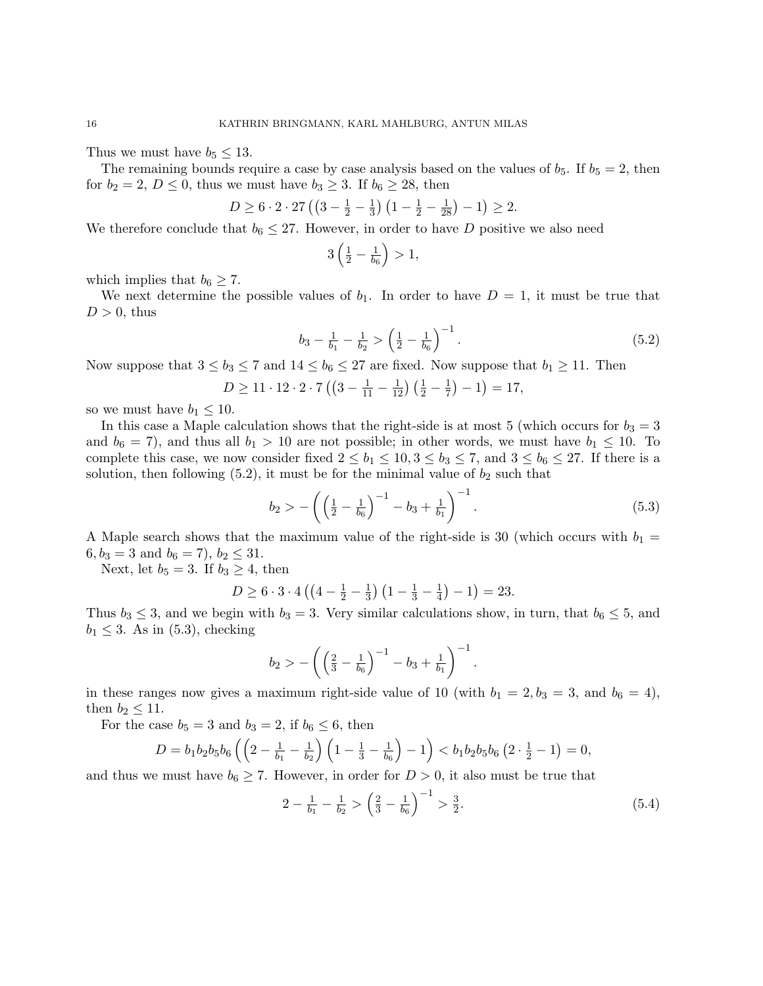Thus we must have  $b_5 \leq 13$ .

The remaining bounds require a case by case analysis based on the values of  $b_5$ . If  $b_5 = 2$ , then for  $b_2 = 2$ ,  $D \le 0$ , thus we must have  $b_3 \ge 3$ . If  $b_6 \ge 28$ , then

$$
D \ge 6 \cdot 2 \cdot 27 \left( \left( 3 - \frac{1}{2} - \frac{1}{3} \right) \left( 1 - \frac{1}{2} - \frac{1}{28} \right) - 1 \right) \ge 2.
$$

We therefore conclude that  $b_6 \leq 27$ . However, in order to have D positive we also need

$$
3\left(\frac{1}{2}-\frac{1}{b_6}\right) > 1,
$$

which implies that  $b_6 \geq 7$ .

We next determine the possible values of  $b_1$ . In order to have  $D = 1$ , it must be true that  $D > 0$ , thus

$$
b_3 - \frac{1}{b_1} - \frac{1}{b_2} > \left(\frac{1}{2} - \frac{1}{b_6}\right)^{-1}.\tag{5.2}
$$

Now suppose that  $3 \le b_3 \le 7$  and  $14 \le b_6 \le 27$  are fixed. Now suppose that  $b_1 \ge 11$ . Then

$$
D \ge 11 \cdot 12 \cdot 2 \cdot 7 \left( \left( 3 - \frac{1}{11} - \frac{1}{12} \right) \left( \frac{1}{2} - \frac{1}{7} \right) - 1 \right) = 17,
$$

so we must have  $b_1 \leq 10$ .

In this case a Maple calculation shows that the right-side is at most 5 (which occurs for  $b_3 = 3$ ) and  $b_6 = 7$ , and thus all  $b_1 > 10$  are not possible; in other words, we must have  $b_1 \leq 10$ . To complete this case, we now consider fixed  $2 \le b_1 \le 10, 3 \le b_3 \le 7$ , and  $3 \le b_6 \le 27$ . If there is a solution, then following  $(5.2)$ , it must be for the minimal value of  $b_2$  such that

$$
b_2 > -\left(\left(\frac{1}{2} - \frac{1}{b_6}\right)^{-1} - b_3 + \frac{1}{b_1}\right)^{-1}.
$$
\n(5.3)

A Maple search shows that the maximum value of the right-side is 30 (which occurs with  $b_1 =$  $6, b_3 = 3$  and  $b_6 = 7$ ,  $b_2 \le 31$ .

Next, let  $b_5 = 3$ . If  $b_3 \geq 4$ , then

$$
D \ge 6 \cdot 3 \cdot 4 \left( \left( 4 - \frac{1}{2} - \frac{1}{3} \right) \left( 1 - \frac{1}{3} - \frac{1}{4} \right) - 1 \right) = 23.
$$

Thus  $b_3 \leq 3$ , and we begin with  $b_3 = 3$ . Very similar calculations show, in turn, that  $b_6 \leq 5$ , and  $b_1 \leq 3$ . As in (5.3), checking

$$
b_2 > -\left( \left(\frac{2}{3} - \frac{1}{b_6}\right)^{-1} - b_3 + \frac{1}{b_1} \right)^{-1}
$$

in these ranges now gives a maximum right-side value of 10 (with  $b_1 = 2, b_3 = 3$ , and  $b_6 = 4$ ), then  $b_2 \leq 11$ .

For the case  $b_5 = 3$  and  $b_3 = 2$ , if  $b_6 \leq 6$ , then

$$
D = b_1 b_2 b_5 b_6 \left( \left( 2 - \frac{1}{b_1} - \frac{1}{b_2} \right) \left( 1 - \frac{1}{3} - \frac{1}{b_6} \right) - 1 \right) < b_1 b_2 b_5 b_6 \left( 2 \cdot \frac{1}{2} - 1 \right) = 0,
$$

and thus we must have  $b_6 \geq 7$ . However, in order for  $D > 0$ , it also must be true that

$$
2 - \frac{1}{b_1} - \frac{1}{b_2} > \left(\frac{2}{3} - \frac{1}{b_6}\right)^{-1} > \frac{3}{2}.
$$
\n
$$
(5.4)
$$

.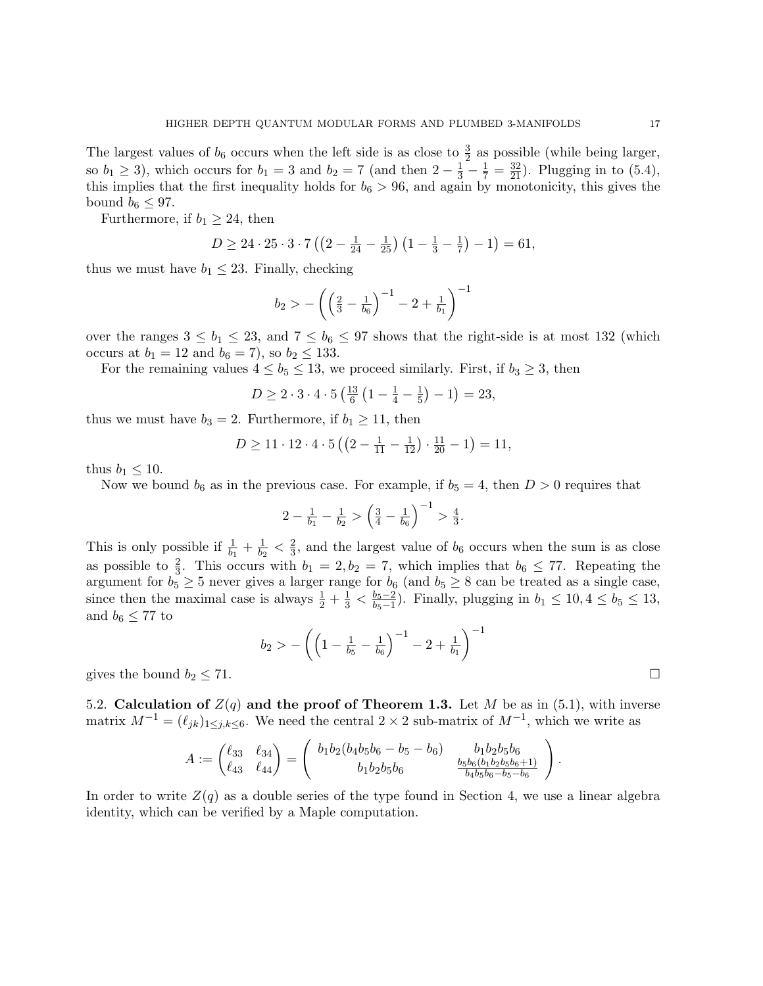The largest values of  $b_6$  occurs when the left side is as close to  $\frac{3}{2}$  as possible (while being larger, so  $b_1 \ge 3$ ), which occurs for  $b_1 = 3$  and  $b_2 = 7$  (and then  $2 - \frac{1}{3} - \frac{1}{7} = \frac{32}{21}$ ). Plugging in to (5.4), this implies that the first inequality holds for  $b_6 > 96$ , and again by monotonicity, this gives the bound  $b_6 \leq 97$ .

Furthermore, if  $b_1 \geq 24$ , then

$$
D \ge 24 \cdot 25 \cdot 3 \cdot 7 \left( \left( 2 - \frac{1}{24} - \frac{1}{25} \right) \left( 1 - \frac{1}{3} - \frac{1}{7} \right) - 1 \right) = 61,
$$

thus we must have  $b_1 \leq 23$ . Finally, checking

$$
b_2 > - \left(\left(\tfrac{2}{3} - \tfrac{1}{b_6}\right)^{-1} - 2 + \tfrac{1}{b_1}\right)^{-1}
$$

over the ranges  $3 \le b_1 \le 23$ , and  $7 \le b_6 \le 97$  shows that the right-side is at most 132 (which occurs at  $b_1 = 12$  and  $b_6 = 7$ , so  $b_2 \le 133$ .

For the remaining values  $4 \leq b_5 \leq 13$ , we proceed similarly. First, if  $b_3 \geq 3$ , then

$$
D \ge 2 \cdot 3 \cdot 4 \cdot 5 \left(\frac{13}{6} \left(1 - \frac{1}{4} - \frac{1}{5}\right) - 1\right) = 23,
$$

thus we must have  $b_3 = 2$ . Furthermore, if  $b_1 \geq 11$ , then

$$
D \ge 11 \cdot 12 \cdot 4 \cdot 5 \left( \left( 2 - \frac{1}{11} - \frac{1}{12} \right) \cdot \frac{11}{20} - 1 \right) = 11,
$$

thus  $b_1 \leq 10$ .

Now we bound  $b_6$  as in the previous case. For example, if  $b_5 = 4$ , then  $D > 0$  requires that

$$
2 - \frac{1}{b_1} - \frac{1}{b_2} > \left(\frac{3}{4} - \frac{1}{b_6}\right)^{-1} > \frac{4}{3}.
$$

This is only possible if  $\frac{1}{b_1} + \frac{1}{b_2}$  $\frac{1}{b_2} < \frac{2}{3}$  $\frac{2}{3}$ , and the largest value of  $b_6$  occurs when the sum is as close as possible to  $\frac{2}{3}$ . This occurs with  $b_1 = 2, b_2 = 7$ , which implies that  $b_6 \leq 77$ . Repeating the argument for  $b_5 \geq 5$  never gives a larger range for  $b_6$  (and  $b_5 \geq 8$  can be treated as a single case, since then the maximal case is always  $\frac{1}{2} + \frac{1}{3} < \frac{b_5 - 2}{b_5 - 1}$  $\frac{b_5 - 2}{b_5 - 1}$ ). Finally, plugging in  $b_1 \le 10, 4 \le b_5 \le 13$ , and  $b_6 \leq 77$  to

$$
b_2>-\left(\left(1-\tfrac{1}{b_5}-\tfrac{1}{b_6}\right)^{-1}-2+\tfrac{1}{b_1}\right)^{-1}
$$

gives the bound  $b_2 \leq 71$ .

5.2. Calculation of  $Z(q)$  and the proof of Theorem 1.3. Let M be as in (5.1), with inverse matrix  $M^{-1} = (\ell_{jk})_{1 \leq j,k \leq 6}$ . We need the central 2 × 2 sub-matrix of  $M^{-1}$ , which we write as

$$
A := \begin{pmatrix} \ell_{33} & \ell_{34} \\ \ell_{43} & \ell_{44} \end{pmatrix} = \begin{pmatrix} b_1b_2(b_4b_5b_6 - b_5 - b_6) & b_1b_2b_5b_6 \\ b_1b_2b_5b_6 & \frac{b_5b_6(b_1b_2b_5b_6 + 1)}{b_4b_5b_6 - b_5 - b_6} \end{pmatrix}
$$

In order to write  $Z(q)$  as a double series of the type found in Section 4, we use a linear algebra identity, which can be verified by a Maple computation.

.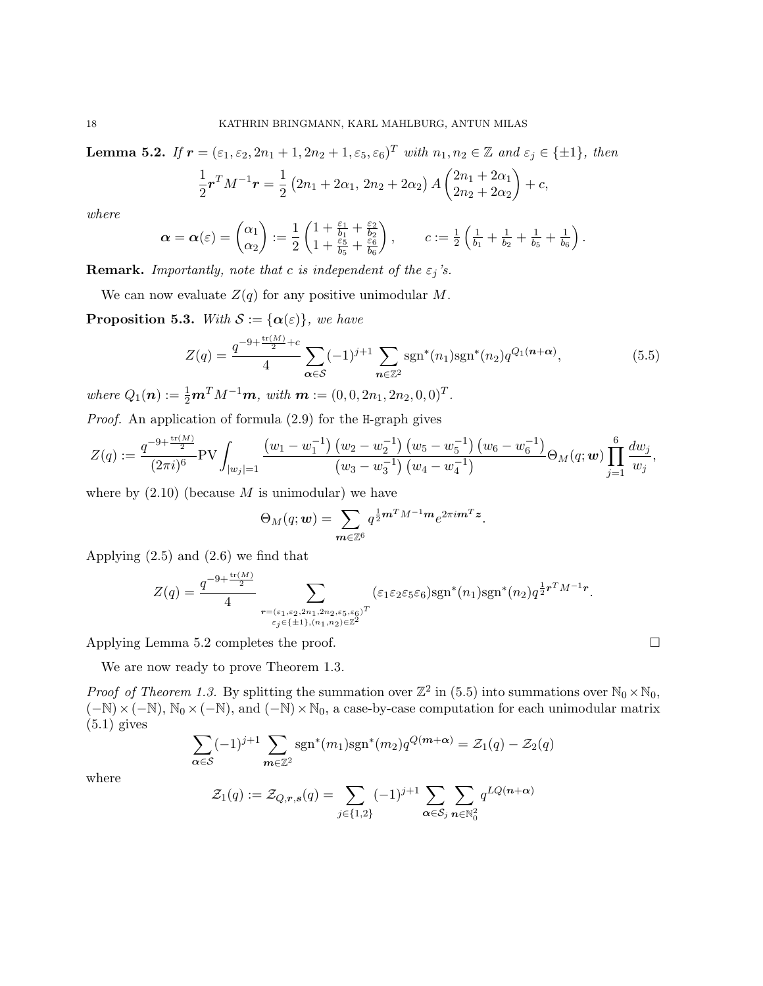**Lemma 5.2.** If  $\mathbf{r} = (\varepsilon_1, \varepsilon_2, 2n_1 + 1, 2n_2 + 1, \varepsilon_5, \varepsilon_6)^T$  with  $n_1, n_2 \in \mathbb{Z}$  and  $\varepsilon_j \in \{\pm 1\}$ , then

$$
\frac{1}{2}\boldsymbol{r}^T M^{-1}\boldsymbol{r} = \frac{1}{2} (2n_1 + 2\alpha_1, 2n_2 + 2\alpha_2) A \begin{pmatrix} 2n_1 + 2\alpha_1 \\ 2n_2 + 2\alpha_2 \end{pmatrix} + c,
$$

where

$$
\boldsymbol{\alpha} = \boldsymbol{\alpha}(\varepsilon) = \begin{pmatrix} \alpha_1 \\ \alpha_2 \end{pmatrix} := \frac{1}{2} \begin{pmatrix} 1 + \frac{\varepsilon_1}{b_1} + \frac{\varepsilon_2}{b_2} \\ 1 + \frac{\varepsilon_5}{b_5} + \frac{\varepsilon_6}{b_6} \end{pmatrix}, \qquad c := \frac{1}{2} \begin{pmatrix} \frac{1}{b_1} + \frac{1}{b_2} + \frac{1}{b_5} + \frac{1}{b_6} \end{pmatrix}.
$$

**Remark.** Importantly, note that c is independent of the  $\varepsilon_j$ 's.

We can now evaluate  $Z(q)$  for any positive unimodular M.

**Proposition 5.3.** With  $S := {\alpha(\varepsilon)}$ , we have

$$
Z(q) = \frac{q^{-9 + \frac{\text{tr}(M)}{2} + c}}{4} \sum_{\alpha \in S} (-1)^{j+1} \sum_{n \in \mathbb{Z}^2} \text{sgn}^*(n_1) \text{sgn}^*(n_2) q^{Q_1(n+\alpha)}, \tag{5.5}
$$

where  $Q_1(n) := \frac{1}{2}m^T M^{-1}m$ , with  $m := (0, 0, 2n_1, 2n_2, 0, 0)^T$ .

Proof. An application of formula (2.9) for the H-graph gives

$$
Z(q) := \frac{q^{-9+\frac{\text{tr}(M)}{2}}}{(2\pi i)^6} \text{PV} \int_{|w_j|=1} \frac{(w_1-w_1^{-1}) (w_2-w_2^{-1}) (w_5-w_5^{-1}) (w_6-w_6^{-1})}{(w_3-w_3^{-1}) (w_4-w_4^{-1})} \Theta_M(q; \mathbf{w}) \prod_{j=1}^6 \frac{dw_j}{w_j},
$$

where by  $(2.10)$  (because M is unimodular) we have

$$
\Theta_M(q; \mathbf{w}) = \sum_{\mathbf{m} \in \mathbb{Z}^6} q^{\frac{1}{2}\mathbf{m}^T M^{-1}\mathbf{m}} e^{2\pi i \mathbf{m}^T \mathbf{z}}.
$$

Applying (2.5) and (2.6) we find that

$$
Z(q) = \frac{q^{-9 + \frac{\text{tr}(M)}{2}}}{4} \sum_{\substack{\mathbf{r} = (\varepsilon_1, \varepsilon_2, 2n_1, 2n_2, \varepsilon_5, \varepsilon_6)^T \\ \varepsilon_j \in \{\pm 1\}, (n_1, n_2) \in \mathbb{Z}^2}} (\varepsilon_1 \varepsilon_2 \varepsilon_5 \varepsilon_6) \text{sgn}^*(n_1) \text{sgn}^*(n_2) q^{\frac{1}{2}\mathbf{r}^T M^{-1} \mathbf{r}}.
$$

Applying Lemma 5.2 completes the proof.

We are now ready to prove Theorem 1.3.

*Proof of Theorem 1.3.* By splitting the summation over  $\mathbb{Z}^2$  in (5.5) into summations over  $\mathbb{N}_0 \times \mathbb{N}_0$ ,  $(-\mathbb{N})\times(-\mathbb{N}), \mathbb{N}_0\times(-\mathbb{N}),$  and  $(-\mathbb{N})\times\mathbb{N}_0$ , a case-by-case computation for each unimodular matrix  $(5.1)$  gives

$$
\sum_{\alpha \in \mathcal{S}} (-1)^{j+1} \sum_{m \in \mathbb{Z}^2} \text{sgn}^*(m_1) \text{sgn}^*(m_2) q^{Q(m+\alpha)} = \mathcal{Z}_1(q) - \mathcal{Z}_2(q)
$$

where

$$
\mathcal{Z}_1(q) := \mathcal{Z}_{Q,r,s}(q) = \sum_{j \in \{1,2\}} (-1)^{j+1} \sum_{\alpha \in \mathcal{S}_j} \sum_{n \in \mathbb{N}_0^2} q^{LQ(n+\alpha)}
$$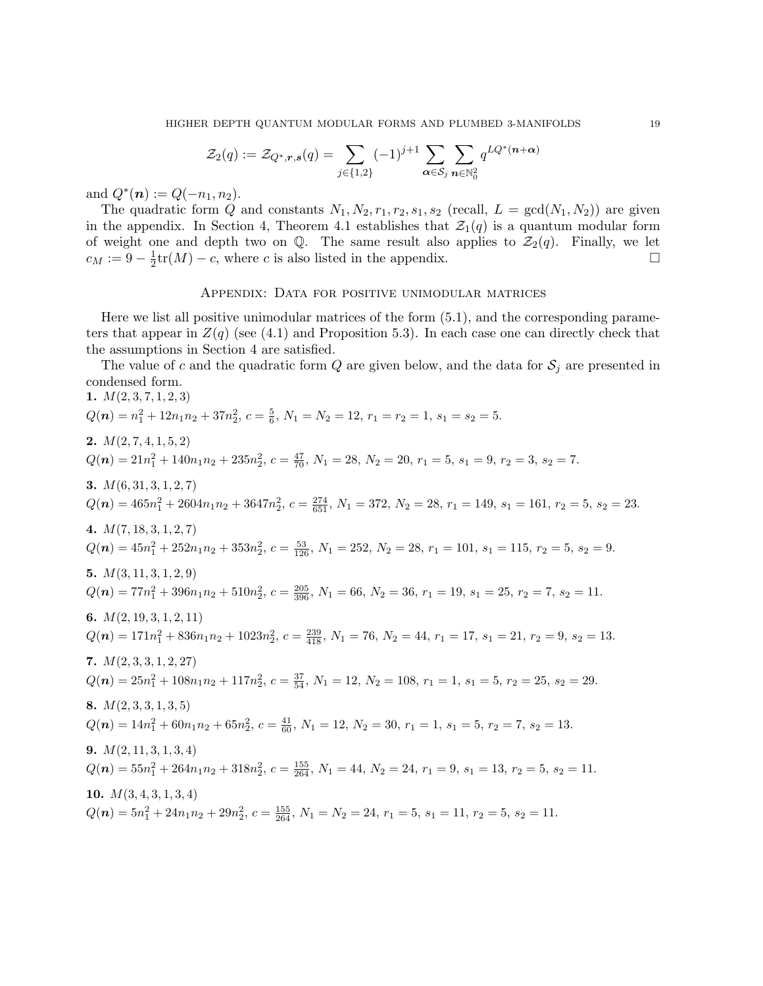$$
\mathcal{Z}_2(q) := \mathcal{Z}_{Q^*,r,s}(q) = \sum_{j \in \{1,2\}} (-1)^{j+1} \sum_{\alpha \in \mathcal{S}_j} \sum_{n \in \mathbb{N}_0^2} q^{LQ^*(n+\alpha)}
$$

and  $Q^*(n) := Q(-n_1, n_2)$ .

The quadratic form Q and constants  $N_1, N_2, r_1, r_2, s_1, s_2$  (recall,  $L = \text{gcd}(N_1, N_2)$ ) are given in the appendix. In Section 4, Theorem 4.1 establishes that  $\mathcal{Z}_1(q)$  is a quantum modular form of weight one and depth two on Q. The same result also applies to  $\mathcal{Z}_2(q)$ . Finally, we let  $c_M := 9 - \frac{1}{2}$  $\frac{1}{2}$ tr(*M*) – *c*, where *c* is also listed in the appendix.

#### Appendix: Data for positive unimodular matrices

Here we list all positive unimodular matrices of the form (5.1), and the corresponding parameters that appear in  $Z(q)$  (see (4.1) and Proposition 5.3). In each case one can directly check that the assumptions in Section 4 are satisfied.

The value of c and the quadratic form Q are given below, and the data for  $S_i$  are presented in condensed form.

1.  $M(2,3,7,1,2,3)$  $Q(n) = n_1^2 + 12n_1n_2 + 37n_2^2$ ,  $c = \frac{5}{6}$ ,  $N_1 = N_2 = 12$ ,  $r_1 = r_2 = 1$ ,  $s_1 = s_2 = 5$ . 2.  $M(2, 7, 4, 1, 5, 2)$  $Q(n) = 21n_1^2 + 140n_1n_2 + 235n_2^2$ ,  $c = \frac{47}{70}$ ,  $N_1 = 28$ ,  $N_2 = 20$ ,  $r_1 = 5$ ,  $s_1 = 9$ ,  $r_2 = 3$ ,  $s_2 = 7$ . 3.  $M(6, 31, 3, 1, 2, 7)$  $Q(n) = 465n_1^2 + 2604n_1n_2 + 3647n_2^2$ ,  $c = \frac{274}{651}$ ,  $N_1 = 372$ ,  $N_2 = 28$ ,  $r_1 = 149$ ,  $s_1 = 161$ ,  $r_2 = 5$ ,  $s_2 = 23$ . 4.  $M(7, 18, 3, 1, 2, 7)$  $Q(n) = 45n_1^2 + 252n_1n_2 + 353n_2^2$ ,  $c = \frac{53}{126}$ ,  $N_1 = 252$ ,  $N_2 = 28$ ,  $r_1 = 101$ ,  $s_1 = 115$ ,  $r_2 = 5$ ,  $s_2 = 9$ . 5.  $M(3, 11, 3, 1, 2, 9)$  $Q(n) = 77n_1^2 + 396n_1n_2 + 510n_2^2$ ,  $c = \frac{205}{396}$ ,  $N_1 = 66$ ,  $N_2 = 36$ ,  $r_1 = 19$ ,  $s_1 = 25$ ,  $r_2 = 7$ ,  $s_2 = 11$ . 6.  $M(2, 19, 3, 1, 2, 11)$  $Q(n) = 171n_1^2 + 836n_1n_2 + 1023n_2^2$ ,  $c = \frac{239}{418}$ ,  $N_1 = 76$ ,  $N_2 = 44$ ,  $r_1 = 17$ ,  $s_1 = 21$ ,  $r_2 = 9$ ,  $s_2 = 13$ . 7.  $M(2, 3, 3, 1, 2, 27)$  $Q(n) = 25n_1^2 + 108n_1n_2 + 117n_2^2$ ,  $c = \frac{37}{54}$ ,  $N_1 = 12$ ,  $N_2 = 108$ ,  $r_1 = 1$ ,  $s_1 = 5$ ,  $r_2 = 25$ ,  $s_2 = 29$ . 8.  $M(2, 3, 3, 1, 3, 5)$  $Q(n) = 14n_1^2 + 60n_1n_2 + 65n_2^2$ ,  $c = \frac{41}{60}$ ,  $N_1 = 12$ ,  $N_2 = 30$ ,  $r_1 = 1$ ,  $s_1 = 5$ ,  $r_2 = 7$ ,  $s_2 = 13$ . 9.  $M(2, 11, 3, 1, 3, 4)$  $Q(n) = 55n_1^2 + 264n_1n_2 + 318n_2^2$ ,  $c = \frac{155}{264}$ ,  $N_1 = 44$ ,  $N_2 = 24$ ,  $r_1 = 9$ ,  $s_1 = 13$ ,  $r_2 = 5$ ,  $s_2 = 11$ . 10.  $M(3, 4, 3, 1, 3, 4)$  $Q(n) = 5n_1^2 + 24n_1n_2 + 29n_2^2$ ,  $c = \frac{155}{264}$ ,  $N_1 = N_2 = 24$ ,  $r_1 = 5$ ,  $s_1 = 11$ ,  $r_2 = 5$ ,  $s_2 = 11$ .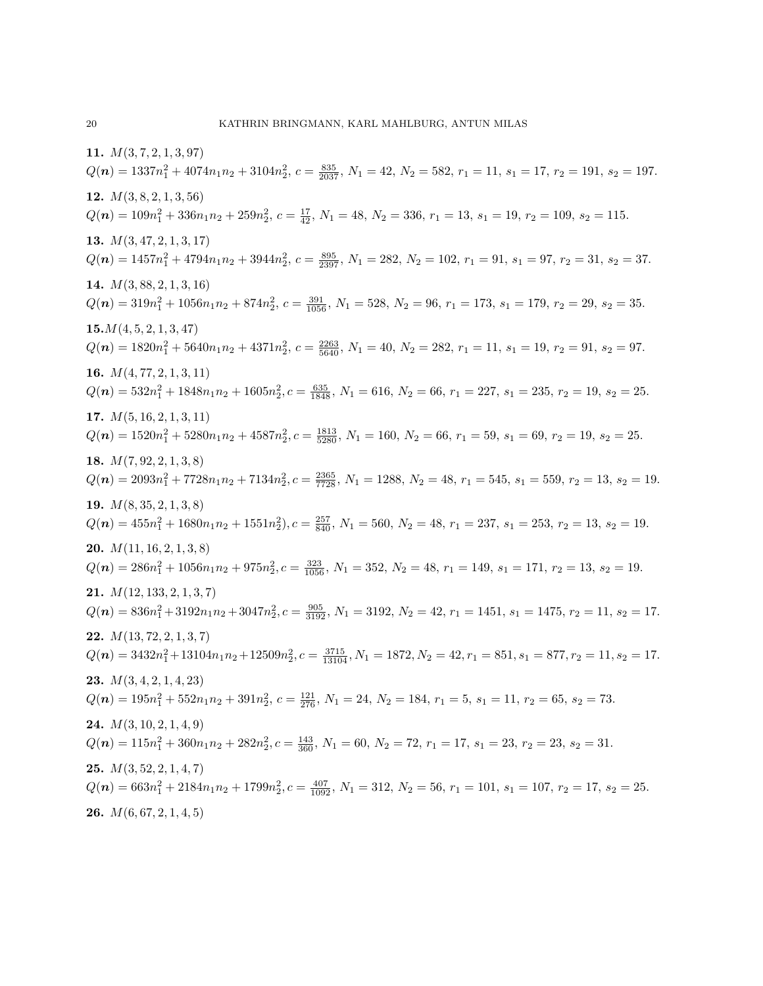11.  $M(3, 7, 2, 1, 3, 97)$  $Q(n) = 1337n_1^2 + 4074n_1n_2 + 3104n_2^2$ ,  $c = \frac{835}{2037}$ ,  $N_1 = 42$ ,  $N_2 = 582$ ,  $r_1 = 11$ ,  $s_1 = 17$ ,  $r_2 = 191$ ,  $s_2 = 197$ . 12.  $M(3, 8, 2, 1, 3, 56)$  $Q(n) = 109n_1^2 + 336n_1n_2 + 259n_2^2$ ,  $c = \frac{17}{42}$ ,  $N_1 = 48$ ,  $N_2 = 336$ ,  $r_1 = 13$ ,  $s_1 = 19$ ,  $r_2 = 109$ ,  $s_2 = 115$ . 13.  $M(3, 47, 2, 1, 3, 17)$  $Q(n) = 1457n_1^2 + 4794n_1n_2 + 3944n_2^2$ ,  $c = \frac{895}{2397}$ ,  $N_1 = 282$ ,  $N_2 = 102$ ,  $r_1 = 91$ ,  $s_1 = 97$ ,  $r_2 = 31$ ,  $s_2 = 37$ . 14.  $M(3, 88, 2, 1, 3, 16)$  $Q(n) = 319n_1^2 + 1056n_1n_2 + 874n_2^2$ ,  $c = \frac{391}{1056}$ ,  $N_1 = 528$ ,  $N_2 = 96$ ,  $r_1 = 173$ ,  $s_1 = 179$ ,  $r_2 = 29$ ,  $s_2 = 35$ .  $15.M(4, 5, 2, 1, 3, 47)$  $Q(n) = 1820n_1^2 + 5640n_1n_2 + 4371n_2^2$ ,  $c = \frac{2263}{5640}$ ,  $N_1 = 40$ ,  $N_2 = 282$ ,  $r_1 = 11$ ,  $s_1 = 19$ ,  $r_2 = 91$ ,  $s_2 = 97$ . 16.  $M(4, 77, 2, 1, 3, 11)$  $Q(n) = 532n_1^2 + 1848n_1n_2 + 1605n_2^2$ ,  $c = \frac{635}{1848}$ ,  $N_1 = 616$ ,  $N_2 = 66$ ,  $r_1 = 227$ ,  $s_1 = 235$ ,  $r_2 = 19$ ,  $s_2 = 25$ . 17.  $M(5, 16, 2, 1, 3, 11)$  $Q(n) = 1520n_1^2 + 5280n_1n_2 + 4587n_2^2$ ,  $c = \frac{1813}{5280}$ ,  $N_1 = 160$ ,  $N_2 = 66$ ,  $r_1 = 59$ ,  $s_1 = 69$ ,  $r_2 = 19$ ,  $s_2 = 25$ . 18.  $M(7, 92, 2, 1, 3, 8)$  $Q(n) = 2093n_1^2 + 7728n_1n_2 + 7134n_2^2$ ,  $c = \frac{2365}{7728}$ ,  $N_1 = 1288$ ,  $N_2 = 48$ ,  $r_1 = 545$ ,  $s_1 = 559$ ,  $r_2 = 13$ ,  $s_2 = 19$ . 19.  $M(8, 35, 2, 1, 3, 8)$  $Q(n) = 455n_1^2 + 1680n_1n_2 + 1551n_2^2$ ,  $c = \frac{257}{840}$ ,  $N_1 = 560$ ,  $N_2 = 48$ ,  $r_1 = 237$ ,  $s_1 = 253$ ,  $r_2 = 13$ ,  $s_2 = 19$ . **20.**  $M(11, 16, 2, 1, 3, 8)$  $Q(n) = 286n_1^2 + 1056n_1n_2 + 975n_2^2$ ,  $c = \frac{323}{1056}$ ,  $N_1 = 352$ ,  $N_2 = 48$ ,  $r_1 = 149$ ,  $s_1 = 171$ ,  $r_2 = 13$ ,  $s_2 = 19$ . **21.**  $M(12, 133, 2, 1, 3, 7)$  $Q(n) = 836n_1^2 + 3192n_1n_2 + 3047n_2^2$ ,  $c = \frac{905}{3192}$ ,  $N_1 = 3192$ ,  $N_2 = 42$ ,  $r_1 = 1451$ ,  $s_1 = 1475$ ,  $r_2 = 11$ ,  $s_2 = 17$ . 22.  $M(13, 72, 2, 1, 3, 7)$  $Q(n) = 3432n_1^2 + 13104n_1n_2 + 12509n_2^2$ ,  $c = \frac{3715}{13104}$ ,  $N_1 = 1872$ ,  $N_2 = 42$ ,  $r_1 = 851$ ,  $s_1 = 877$ ,  $r_2 = 11$ ,  $s_2 = 17$ . **23.**  $M(3, 4, 2, 1, 4, 23)$  $Q(n) = 195n_1^2 + 552n_1n_2 + 391n_2^2$ ,  $c = \frac{121}{276}$ ,  $N_1 = 24$ ,  $N_2 = 184$ ,  $r_1 = 5$ ,  $s_1 = 11$ ,  $r_2 = 65$ ,  $s_2 = 73$ . 24.  $M(3, 10, 2, 1, 4, 9)$  $Q(n) = 115n_1^2 + 360n_1n_2 + 282n_2^2$ ,  $c = \frac{143}{360}$ ,  $N_1 = 60$ ,  $N_2 = 72$ ,  $r_1 = 17$ ,  $s_1 = 23$ ,  $r_2 = 23$ ,  $s_2 = 31$ . **25.**  $M(3, 52, 2, 1, 4, 7)$  $Q(n) = 663n_1^2 + 2184n_1n_2 + 1799n_2^2$ ,  $c = \frac{407}{1092}$ ,  $N_1 = 312$ ,  $N_2 = 56$ ,  $r_1 = 101$ ,  $s_1 = 107$ ,  $r_2 = 17$ ,  $s_2 = 25$ . **26.**  $M(6, 67, 2, 1, 4, 5)$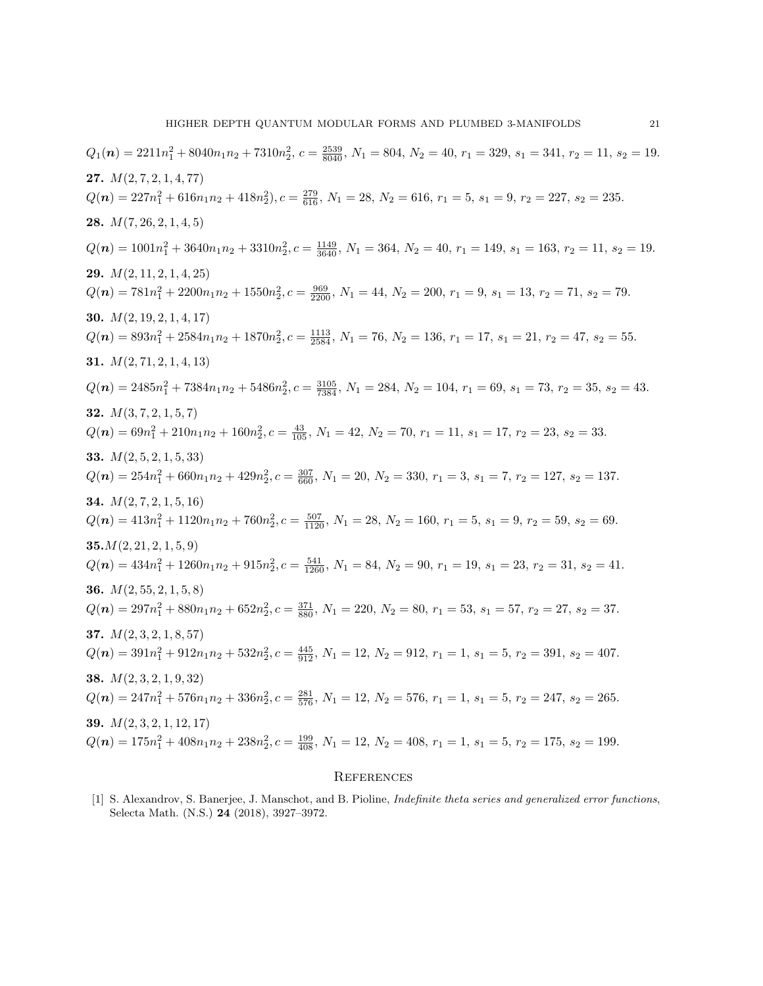$Q_1(n) = 2211n_1^2 + 8040n_1n_2 + 7310n_2^2$ ,  $c = \frac{2539}{8040}$ ,  $N_1 = 804$ ,  $N_2 = 40$ ,  $r_1 = 329$ ,  $s_1 = 341$ ,  $r_2 = 11$ ,  $s_2 = 19$ . 27.  $M(2, 7, 2, 1, 4, 77)$  $Q(n) = 227n_1^2 + 616n_1n_2 + 418n_2^2$ ,  $c = \frac{279}{616}$ ,  $N_1 = 28$ ,  $N_2 = 616$ ,  $r_1 = 5$ ,  $s_1 = 9$ ,  $r_2 = 227$ ,  $s_2 = 235$ . **28.**  $M(7, 26, 2, 1, 4, 5)$  $Q(n) = 1001n_1^2 + 3640n_1n_2 + 3310n_2^2$ ,  $c = \frac{1149}{3640}$ ,  $N_1 = 364$ ,  $N_2 = 40$ ,  $r_1 = 149$ ,  $s_1 = 163$ ,  $r_2 = 11$ ,  $s_2 = 19$ . **29.**  $M(2, 11, 2, 1, 4, 25)$  $Q(n) = 781n_1^2 + 2200n_1n_2 + 1550n_2^2$ ,  $c = \frac{969}{2200}$ ,  $N_1 = 44$ ,  $N_2 = 200$ ,  $r_1 = 9$ ,  $s_1 = 13$ ,  $r_2 = 71$ ,  $s_2 = 79$ . **30.**  $M(2, 19, 2, 1, 4, 17)$  $Q(n) = 893n_1^2 + 2584n_1n_2 + 1870n_2^2$ ,  $c = \frac{1113}{2584}$ ,  $N_1 = 76$ ,  $N_2 = 136$ ,  $r_1 = 17$ ,  $s_1 = 21$ ,  $r_2 = 47$ ,  $s_2 = 55$ . 31.  $M(2, 71, 2, 1, 4, 13)$  $Q(n) = 2485n_1^2 + 7384n_1n_2 + 5486n_2^2$ ,  $c = \frac{3105}{7384}$ ,  $N_1 = 284$ ,  $N_2 = 104$ ,  $r_1 = 69$ ,  $s_1 = 73$ ,  $r_2 = 35$ ,  $s_2 = 43$ . **32.**  $M(3, 7, 2, 1, 5, 7)$  $Q(n) = 69n_1^2 + 210n_1n_2 + 160n_2^2$ ,  $c = \frac{43}{105}$ ,  $N_1 = 42$ ,  $N_2 = 70$ ,  $r_1 = 11$ ,  $s_1 = 17$ ,  $r_2 = 23$ ,  $s_2 = 33$ . 33.  $M(2, 5, 2, 1, 5, 33)$  $Q(n) = 254n_1^2 + 660n_1n_2 + 429n_2^2$ ,  $c = \frac{307}{660}$ ,  $N_1 = 20$ ,  $N_2 = 330$ ,  $r_1 = 3$ ,  $s_1 = 7$ ,  $r_2 = 127$ ,  $s_2 = 137$ . **34.**  $M(2, 7, 2, 1, 5, 16)$  $Q(n) = 413n_1^2 + 1120n_1n_2 + 760n_2^2$ ,  $c = \frac{507}{1120}$ ,  $N_1 = 28$ ,  $N_2 = 160$ ,  $r_1 = 5$ ,  $s_1 = 9$ ,  $r_2 = 59$ ,  $s_2 = 69$ .  $35. M(2, 21, 2, 1, 5, 9)$  $Q(n) = 434n_1^2 + 1260n_1n_2 + 915n_2^2$ ,  $c = \frac{541}{1260}$ ,  $N_1 = 84$ ,  $N_2 = 90$ ,  $r_1 = 19$ ,  $s_1 = 23$ ,  $r_2 = 31$ ,  $s_2 = 41$ . 36.  $M(2, 55, 2, 1, 5, 8)$  $Q(n) = 297n_1^2 + 880n_1n_2 + 652n_2^2$ ,  $c = \frac{371}{880}$ ,  $N_1 = 220$ ,  $N_2 = 80$ ,  $r_1 = 53$ ,  $s_1 = 57$ ,  $r_2 = 27$ ,  $s_2 = 37$ . 37.  $M(2, 3, 2, 1, 8, 57)$  $Q(n) = 391n_1^2 + 912n_1n_2 + 532n_2^2, c = \frac{445}{912}, N_1 = 12, N_2 = 912, r_1 = 1, s_1 = 5, r_2 = 391, s_2 = 407.$ 38.  $M(2, 3, 2, 1, 9, 32)$  $Q(n) = 247n_1^2 + 576n_1n_2 + 336n_2^2, c = \frac{281}{576}, N_1 = 12, N_2 = 576, r_1 = 1, s_1 = 5, r_2 = 247, s_2 = 265.$ **39.**  $M(2, 3, 2, 1, 12, 17)$  $Q(n) = 175n_1^2 + 408n_1n_2 + 238n_2^2, c = \frac{199}{408}, N_1 = 12, N_2 = 408, r_1 = 1, s_1 = 5, r_2 = 175, s_2 = 199.$ 

#### **REFERENCES**

[1] S. Alexandrov, S. Banerjee, J. Manschot, and B. Pioline, Indefinite theta series and generalized error functions, Selecta Math. (N.S.) 24 (2018), 3927–3972.